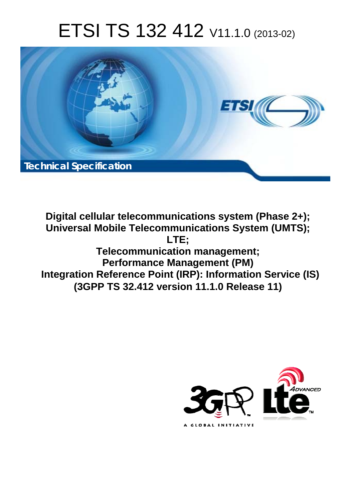# ETSI TS 132 412 V11.1.0 (2013-02)



**Digital cellular telecommunications system (Phase 2+); Universal Mobile Telecommunications System (UMTS); LTE; Telecommunication management; Performance Management (PM) Integration Reference Point (IRP): Information Service (IS) (3GPP TS 32.412 version 11.1.0 Release 11)** 

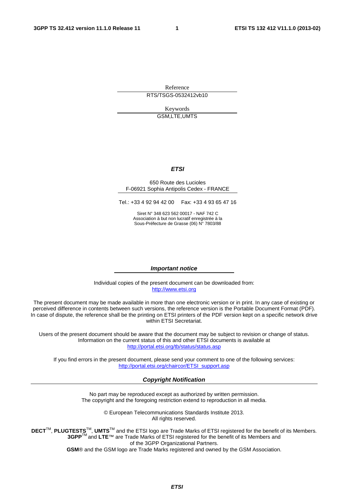Reference RTS/TSGS-0532412vb10

> Keywords GSM,LTE,UMTS

#### *ETSI*

#### 650 Route des Lucioles F-06921 Sophia Antipolis Cedex - FRANCE

Tel.: +33 4 92 94 42 00 Fax: +33 4 93 65 47 16

Siret N° 348 623 562 00017 - NAF 742 C Association à but non lucratif enregistrée à la Sous-Préfecture de Grasse (06) N° 7803/88

#### *Important notice*

Individual copies of the present document can be downloaded from: [http://www.etsi.org](http://www.etsi.org/)

The present document may be made available in more than one electronic version or in print. In any case of existing or perceived difference in contents between such versions, the reference version is the Portable Document Format (PDF). In case of dispute, the reference shall be the printing on ETSI printers of the PDF version kept on a specific network drive within ETSI Secretariat.

Users of the present document should be aware that the document may be subject to revision or change of status. Information on the current status of this and other ETSI documents is available at <http://portal.etsi.org/tb/status/status.asp>

If you find errors in the present document, please send your comment to one of the following services: [http://portal.etsi.org/chaircor/ETSI\\_support.asp](http://portal.etsi.org/chaircor/ETSI_support.asp)

#### *Copyright Notification*

No part may be reproduced except as authorized by written permission. The copyright and the foregoing restriction extend to reproduction in all media.

> © European Telecommunications Standards Institute 2013. All rights reserved.

**DECT**TM, **PLUGTESTS**TM, **UMTS**TM and the ETSI logo are Trade Marks of ETSI registered for the benefit of its Members. **3GPP**TM and **LTE**™ are Trade Marks of ETSI registered for the benefit of its Members and of the 3GPP Organizational Partners.

**GSM**® and the GSM logo are Trade Marks registered and owned by the GSM Association.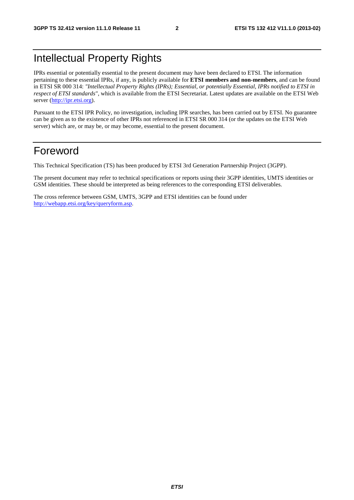### Intellectual Property Rights

IPRs essential or potentially essential to the present document may have been declared to ETSI. The information pertaining to these essential IPRs, if any, is publicly available for **ETSI members and non-members**, and can be found in ETSI SR 000 314: *"Intellectual Property Rights (IPRs); Essential, or potentially Essential, IPRs notified to ETSI in respect of ETSI standards"*, which is available from the ETSI Secretariat. Latest updates are available on the ETSI Web server [\(http://ipr.etsi.org](http://webapp.etsi.org/IPR/home.asp)).

Pursuant to the ETSI IPR Policy, no investigation, including IPR searches, has been carried out by ETSI. No guarantee can be given as to the existence of other IPRs not referenced in ETSI SR 000 314 (or the updates on the ETSI Web server) which are, or may be, or may become, essential to the present document.

### Foreword

This Technical Specification (TS) has been produced by ETSI 3rd Generation Partnership Project (3GPP).

The present document may refer to technical specifications or reports using their 3GPP identities, UMTS identities or GSM identities. These should be interpreted as being references to the corresponding ETSI deliverables.

The cross reference between GSM, UMTS, 3GPP and ETSI identities can be found under [http://webapp.etsi.org/key/queryform.asp.](http://webapp.etsi.org/key/queryform.asp)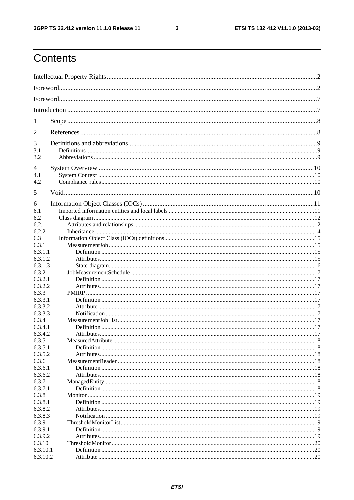$\mathbf{3}$ 

## Contents

| 1                  |  |
|--------------------|--|
| 2                  |  |
| 3                  |  |
| 3.1                |  |
| 3.2                |  |
| 4                  |  |
| 4.1<br>4.2         |  |
|                    |  |
| 5                  |  |
| 6                  |  |
| 6.1                |  |
| 6.2                |  |
| 6.2.1              |  |
| 6.2.2              |  |
| 6.3                |  |
| 6.3.1              |  |
| 6.3.1.1<br>6.3.1.2 |  |
| 6.3.1.3            |  |
| 6.3.2              |  |
| 6.3.2.1            |  |
| 6.3.2.2            |  |
| 6.3.3              |  |
| 6.3.3.1            |  |
| 6.3.3.2            |  |
| 6.3.3.3            |  |
| 6.3.4              |  |
| 6.3.4.1            |  |
| 6.3.4.2            |  |
| 6.3.5              |  |
| 6.3.5.1            |  |
| 6.3.5.2            |  |
| 6.3.6              |  |
| 6.3.6.1            |  |
| 6.3.6.2            |  |
| 6.3.7              |  |
| 6.3.7.1            |  |
| 6.3.8              |  |
| 6.3.8.1            |  |
| 6.3.8.2            |  |
| 6.3.8.3            |  |
| 6.3.9              |  |
| 6.3.9.1            |  |
| 6.3.9.2            |  |
| 6.3.10<br>6.3.10.1 |  |
| 6.3.10.2           |  |
|                    |  |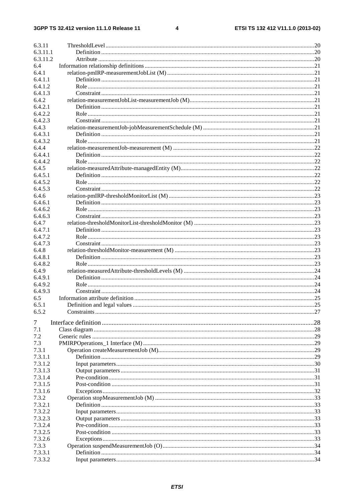$\overline{\mathbf{4}}$ 

| 6.3.11       |                             |    |
|--------------|-----------------------------|----|
| 6.3.11.1     |                             |    |
| 6.3.11.2     |                             |    |
| 6.4          |                             |    |
| 6.4.1        |                             |    |
| 6.4.1.1      |                             |    |
| 6.4.1.2      |                             |    |
| 6.4.1.3      |                             |    |
| 6.4.2        |                             |    |
| 6.4.2.1      |                             |    |
| 6.4.2.2      |                             |    |
| 6.4.2.3      |                             |    |
| 6.4.3        |                             |    |
| 6.4.3.1      |                             |    |
| 6.4.3.2      |                             |    |
| 6.4.4        |                             |    |
| 6.4.4.1      |                             |    |
| 6.4.4.2      |                             |    |
| 6.4.5        |                             |    |
| 6.4.5.1      |                             |    |
| 6.4.5.2      |                             |    |
| 6.4.5.3      |                             |    |
| 6.4.6        |                             |    |
| 6.4.6.1      |                             |    |
| 6.4.6.2      |                             |    |
| 6.4.6.3      |                             |    |
| 6.4.7        |                             |    |
| 6.4.7.1      |                             |    |
| 6.4.7.2      |                             |    |
| 6.4.7.3      |                             |    |
| 6.4.8        |                             |    |
| 6.4.8.1      |                             |    |
| 6.4.8.2      |                             |    |
| 6.4.9        |                             |    |
| 6.4.9.1      |                             |    |
| 6.4.9.2      |                             |    |
| 6.4.9.3      |                             |    |
| 6.5          |                             |    |
| 6.5.1        | Definition and legal values |    |
| 6.5.2        |                             |    |
|              |                             |    |
| 7            |                             |    |
| 7.1          |                             | 29 |
| 7.2          |                             |    |
| 7.3<br>7.3.1 |                             |    |
| 7.3.1.1      |                             |    |
| 7.3.1.2      |                             |    |
| 7.3.1.3      |                             |    |
| 7.3.1.4      |                             |    |
| 7.3.1.5      |                             |    |
| 7.3.1.6      |                             |    |
| 7.3.2        |                             |    |
| 7.3.2.1      |                             |    |
| 7.3.2.2      |                             |    |
| 7.3.2.3      |                             |    |
| 7.3.2.4      |                             |    |
| 7.3.2.5      |                             |    |
| 7.3.2.6      |                             |    |
| 7.3.3        |                             |    |
| 7.3.3.1      |                             |    |
| 7.3.3.2      |                             |    |
|              |                             |    |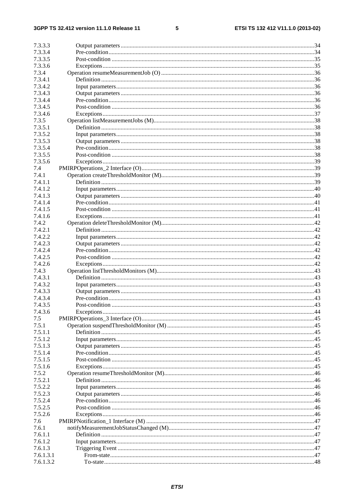#### $5\phantom{a}$

| 7.3.3.3            |  |
|--------------------|--|
| 7.3.3.4            |  |
| 7.3.3.5            |  |
| 7.3.3.6            |  |
| 7.3.4              |  |
| 7.3.4.1            |  |
| 7.3.4.2            |  |
| 7.3.4.3            |  |
| 7.3.4.4            |  |
| 7.3.4.5            |  |
| 7.3.4.6            |  |
| 7.3.5              |  |
| 7.3.5.1            |  |
| 7.3.5.2            |  |
| 7.3.5.3            |  |
| 7.3.5.4            |  |
| 7.3.5.5            |  |
| 7.3.5.6            |  |
| 7.4                |  |
| 7.4.1              |  |
| 7.4.1.1            |  |
| 7.4.1.2            |  |
| 7.4.1.3            |  |
| 7.4.1.4            |  |
| 7.4.1.5            |  |
| 7.4.1.6            |  |
| 7.4.2              |  |
| 7.4.2.1            |  |
| 7.4.2.2            |  |
| 7.4.2.3            |  |
| 7.4.2.4            |  |
| 7.4.2.5            |  |
| 7.4.2.6            |  |
| 7.4.3              |  |
| 7.4.3.1            |  |
| 7.4.3.2            |  |
| 7.4.3.3            |  |
| 7.4.3.4            |  |
| 7.4.3.5            |  |
| 7.4.3.6            |  |
| 7.5                |  |
|                    |  |
| 7.5.1<br>7.5.1.1   |  |
| 7.5.1.2            |  |
| 7.5.1.3            |  |
|                    |  |
| 7.5.1.4            |  |
| 7.5.1.5<br>7.5.1.6 |  |
|                    |  |
| 7.5.2              |  |
| 7.5.2.1            |  |
| 7.5.2.2            |  |
| 7.5.2.3            |  |
| 7.5.2.4            |  |
| 7.5.2.5            |  |
| 7.5.2.6            |  |
| 7.6                |  |
| 7.6.1              |  |
| 7.6.1.1            |  |
| 7.6.1.2            |  |
| 7.6.1.3            |  |
| 7.6.1.3.1          |  |
| 7.6.1.3.2          |  |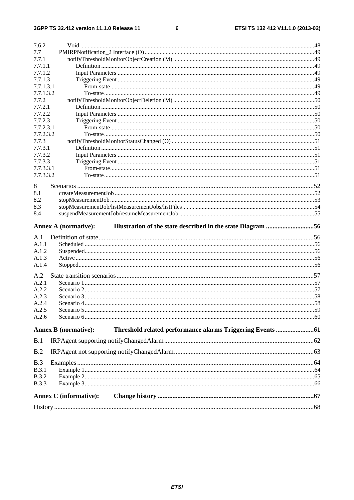#### $\bf 6$

| 7.6.2              |                                                                                            |  |
|--------------------|--------------------------------------------------------------------------------------------|--|
| 7.7                |                                                                                            |  |
| 7.7.1              |                                                                                            |  |
| 7.7.1.1            |                                                                                            |  |
| 7.7.1.2            |                                                                                            |  |
| 7.7.1.3            |                                                                                            |  |
| 7.7.1.3.1          |                                                                                            |  |
| 7.7.1.3.2<br>7.7.2 |                                                                                            |  |
| 7.7.2.1            |                                                                                            |  |
| 7.7.2.2            |                                                                                            |  |
| 7.7.2.3            |                                                                                            |  |
| 7.7.2.3.1          |                                                                                            |  |
| 7.7.2.3.2          |                                                                                            |  |
| 7.7.3              |                                                                                            |  |
| 7.7.3.1            |                                                                                            |  |
| 7.7.3.2            |                                                                                            |  |
| 7.7.3.3            |                                                                                            |  |
| 7.7.3.3.1          |                                                                                            |  |
| 7.7.3.3.2          |                                                                                            |  |
| 8                  |                                                                                            |  |
| 8.1                |                                                                                            |  |
| 8.2                |                                                                                            |  |
| 8.3                |                                                                                            |  |
| 8.4                |                                                                                            |  |
|                    |                                                                                            |  |
|                    | Illustration of the state described in the state Diagram 56<br><b>Annex A (normative):</b> |  |
| A.1                |                                                                                            |  |
| A.1.1              |                                                                                            |  |
| A.1.2              |                                                                                            |  |
| A.1.3              |                                                                                            |  |
| A.1.4              |                                                                                            |  |
| A.2                |                                                                                            |  |
| A.2.1              |                                                                                            |  |
| A.2.2              |                                                                                            |  |
| A.2.3              |                                                                                            |  |
| A.2.4              |                                                                                            |  |
| A.2.5              |                                                                                            |  |
| A.2.6              |                                                                                            |  |
|                    |                                                                                            |  |
|                    | <b>Annex B</b> (normative):                                                                |  |
| B.1                |                                                                                            |  |
| B.2                |                                                                                            |  |
| B.3                |                                                                                            |  |
| <b>B.3.1</b>       |                                                                                            |  |
| <b>B.3.2</b>       |                                                                                            |  |
| <b>B.3.3</b>       |                                                                                            |  |
|                    |                                                                                            |  |
|                    | <b>Annex C</b> (informative):                                                              |  |
|                    |                                                                                            |  |
|                    |                                                                                            |  |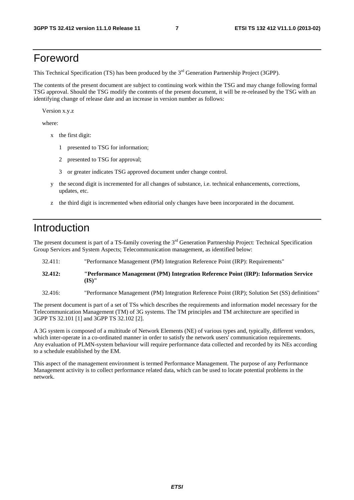### Foreword

This Technical Specification (TS) has been produced by the 3<sup>rd</sup> Generation Partnership Project (3GPP).

The contents of the present document are subject to continuing work within the TSG and may change following formal TSG approval. Should the TSG modify the contents of the present document, it will be re-released by the TSG with an identifying change of release date and an increase in version number as follows:

Version x.y.z

where:

- x the first digit:
	- 1 presented to TSG for information;
	- 2 presented to TSG for approval;
	- 3 or greater indicates TSG approved document under change control.
- y the second digit is incremented for all changes of substance, i.e. technical enhancements, corrections, updates, etc.
- z the third digit is incremented when editorial only changes have been incorporated in the document.

### Introduction

The present document is part of a TS-family covering the 3<sup>rd</sup> Generation Partnership Project: Technical Specification Group Services and System Aspects; Telecommunication management, as identified below:

- 32.411: "Performance Management (PM) Integration Reference Point (IRP): Requirements"
- **32.412: "Performance Management (PM) Integration Reference Point (IRP): Information Service (IS)"**

32.416: "Performance Management (PM) Integration Reference Point (IRP); Solution Set (SS) definitions"

The present document is part of a set of TSs which describes the requirements and information model necessary for the Telecommunication Management (TM) of 3G systems. The TM principles and TM architecture are specified in 3GPP TS 32.101 [1] and 3GPP TS 32.102 [2].

A 3G system is composed of a multitude of Network Elements (NE) of various types and, typically, different vendors, which inter-operate in a co-ordinated manner in order to satisfy the network users' communication requirements. Any evaluation of PLMN-system behaviour will require performance data collected and recorded by its NEs according to a schedule established by the EM.

This aspect of the management environment is termed Performance Management. The purpose of any Performance Management activity is to collect performance related data, which can be used to locate potential problems in the network.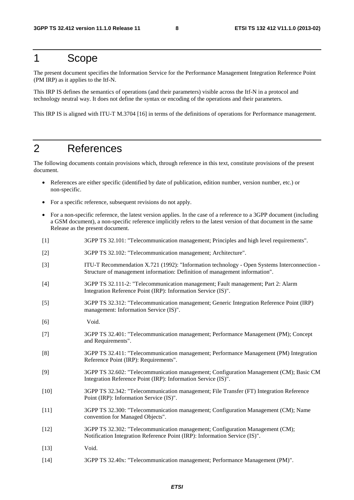### 1 Scope

The present document specifies the Information Service for the Performance Management Integration Reference Point (PM IRP) as it applies to the Itf-N.

This IRP IS defines the semantics of operations (and their parameters) visible across the Itf-N in a protocol and technology neutral way. It does not define the syntax or encoding of the operations and their parameters.

This IRP IS is aligned with ITU-T M.3704 [16] in terms of the definitions of operations for Performance management.

### 2 References

The following documents contain provisions which, through reference in this text, constitute provisions of the present document.

- References are either specific (identified by date of publication, edition number, version number, etc.) or non-specific.
- For a specific reference, subsequent revisions do not apply.
- For a non-specific reference, the latest version applies. In the case of a reference to a 3GPP document (including a GSM document), a non-specific reference implicitly refers to the latest version of that document in the same Release as the present document.
- [1] 3GPP TS 32.101: "Telecommunication management; Principles and high level requirements".
- [2] 3GPP TS 32.102: "Telecommunication management; Architecture".
- [3] ITU-T Recommendation X.721 (1992): "Information technology Open Systems Interconnection Structure of management information: Definition of management information".
- [4] 3GPP TS 32.111-2: "Telecommunication management; Fault management; Part 2: Alarm Integration Reference Point (IRP): Information Service (IS)".
- [5] 3GPP TS 32.312: "Telecommunication management; Generic Integration Reference Point (IRP) management: Information Service (IS)".
- [6] Void.
- [7] 3GPP TS 32.401: "Telecommunication management; Performance Management (PM); Concept and Requirements".
- [8] 3GPP TS 32.411: "Telecommunication management; Performance Management (PM) Integration Reference Point (IRP): Requirements".
- [9] 3GPP TS 32.602: "Telecommunication management; Configuration Management (CM); Basic CM Integration Reference Point (IRP): Information Service (IS)".
- [10] 3GPP TS 32.342: "Telecommunication management; File Transfer (FT) Integration Reference Point (IRP): Information Service (IS)".
- [11] 3GPP TS 32.300: "Telecommunication management; Configuration Management (CM); Name convention for Managed Objects".
- [12] 3GPP TS 32.302: "Telecommunication management; Configuration Management (CM); Notification Integration Reference Point (IRP): Information Service (IS)".
- [13] Void.
- [14] 3GPP TS 32.40x: "Telecommunication management; Performance Management (PM)".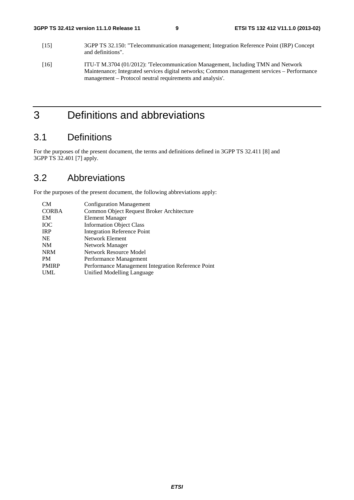- [15] 3GPP TS 32.150: "Telecommunication management; Integration Reference Point (IRP) Concept and definitions".
- [16] ITU-T M.3704 (01/2012): 'Telecommunication Management, Including TMN and Network Maintenance; Integrated services digital networks; Common management services – Performance management – Protocol neutral requirements and analysis'.

### 3 Definitions and abbreviations

### 3.1 Definitions

For the purposes of the present document, the terms and definitions defined in 3GPP TS 32.411 [8] and 3GPP TS 32.401 [7] apply.

### 3.2 Abbreviations

For the purposes of the present document, the following abbreviations apply:

| <b>CM</b>    | <b>Configuration Management</b>                    |
|--------------|----------------------------------------------------|
| <b>CORBA</b> | Common Object Request Broker Architecture          |
| EM           | Element Manager                                    |
| <b>IOC</b>   | <b>Information Object Class</b>                    |
| <b>IRP</b>   | <b>Integration Reference Point</b>                 |
| <b>NE</b>    | Network Element                                    |
| <b>NM</b>    | Network Manager                                    |
| <b>NRM</b>   | Network Resource Model                             |
| <b>PM</b>    | Performance Management                             |
| <b>PMIRP</b> | Performance Management Integration Reference Point |
| <b>UML</b>   | Unified Modelling Language                         |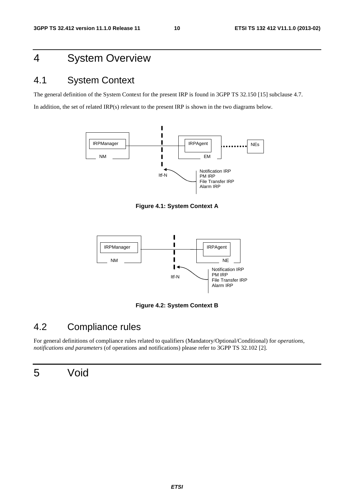### 4 System Overview

### 4.1 System Context

The general definition of the System Context for the present IRP is found in 3GPP TS 32.150 [15] subclause 4.7.

In addition, the set of related IRP(s) relevant to the present IRP is shown in the two diagrams below.



**Figure 4.1: System Context A** 



**Figure 4.2: System Context B** 

### 4.2 Compliance rules

For general definitions of compliance rules related to qualifiers (Mandatory/Optional/Conditional) for *operations*, *notifications and parameters* (of operations and notifications) please refer to 3GPP TS 32.102 [2].

### 5 Void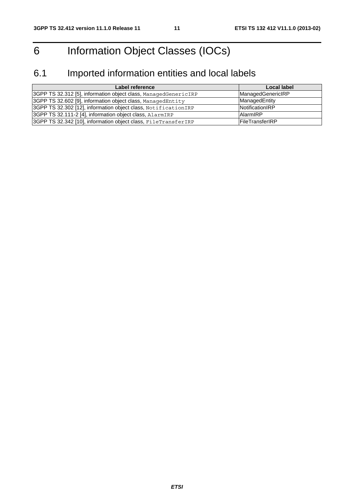## 6 Information Object Classes (IOCs)

## 6.1 Imported information entities and local labels

| Label reference                                                 | Local label             |
|-----------------------------------------------------------------|-------------------------|
| 3GPP TS 32.312 [5], information object class, ManagedGenericIRP | ManagedGenericIRP       |
| 3GPP TS 32.602 [9], information object class, ManagedEntity     | ManagedEntity           |
| 3GPP TS 32.302 [12], information object class, NotificationIRP  | <b>Notification RP</b>  |
| 3GPP TS 32.111-2 [4], information object class, AlarmIRP        | <b>AlarmIRP</b>         |
| 3GPP TS 32.342 [10], information object class, FileTransferIRP  | <b>IFileTransferIRP</b> |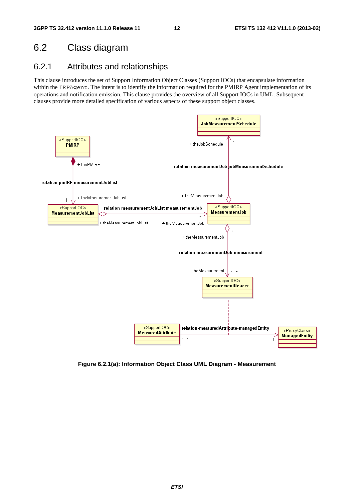### 6.2 Class diagram

### 6.2.1 Attributes and relationships

This clause introduces the set of Support Information Object Classes (Support IOCs) that encapsulate information within the IRPAgent. The intent is to identify the information required for the PMIRP Agent implementation of its operations and notification emission. This clause provides the overview of all Support IOCs in UML. Subsequent clauses provide more detailed specification of various aspects of these support object classes.



**Figure 6.2.1(a): Information Object Class UML Diagram - Measurement**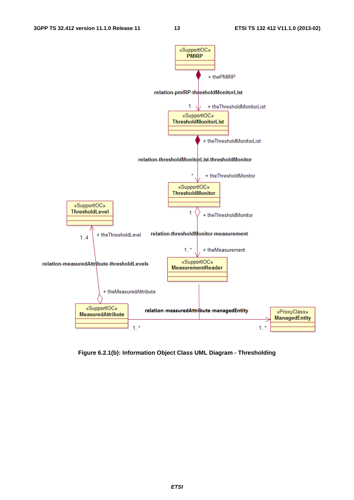

**Figure 6.2.1(b): Information Object Class UML Diagram - Thresholding**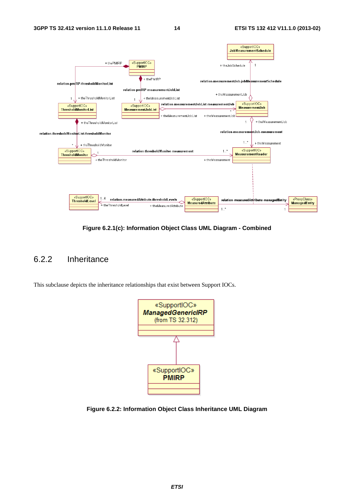

**Figure 6.2.1(c): Information Object Class UML Diagram - Combined** 

### 6.2.2 Inheritance

This subclause depicts the inheritance relationships that exist between Support IOCs.



**Figure 6.2.2: Information Object Class Inheritance UML Diagram**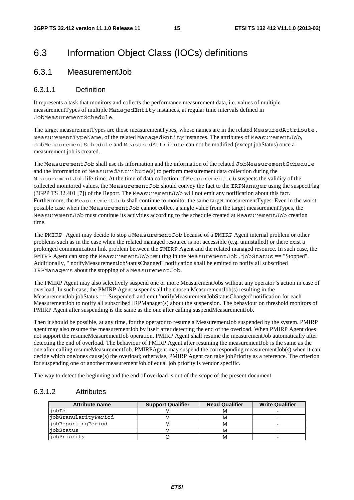### 6.3 Information Object Class (IOCs) definitions

### 6.3.1 MeasurementJob

#### 6.3.1.1 Definition

It represents a task that monitors and collects the performance measurement data, i.e. values of multiple measurementTypes of multiple ManagedEntity instances, at regular time intervals defined in JobMeasurementSchedule.

The target measurementTypes are those measurementTypes, whose names are in the related MeasuredAttribute. measurementTypeName, of the related ManagedEntity instances. The attributes of MeasurementJob, JobMeasurementSchedule and MeasuredAttribute can not be modified (except jobStatus) once a measurement job is created.

The MeasurementJob shall use its information and the information of the related JobMeasurementSchedule and the information of MeasuredAttribute(s) to perform measurement data collection during the MeasurementJob life-time. At the time of data collection, if MeasurementJob suspects the validity of the collected monitored values, the MeasurementJob should convey the fact to the IRPManager using the suspectFlag (3GPP TS 32.401 [7]) of the Report. The MeasurementJob will not emit any notification about this fact. Furthermore, the MeasurementJob shall continue to monitor the same target measurementTypes. Even in the worst possible case when the MeasurementJob cannot collect a single value from the target measurementTypes, the MeasurementJob must continue its activities according to the schedule created at MeasurementJob creation time.

The PMIRP Agent may decide to stop a MeasurementJob because of a PMIRP Agent internal problem or other problems such as in the case when the related managed resource is not accessible (e.g. uninstalled) or there exist a prolonged communication link problem between the PMIRP Agent and the related managed resource. In such case, the PMIRP Agent can stop the MeasurementJob resulting in the MeasurementJob.jobStatus == "Stopped". Additionally, " notifyMeasurementJobStatusChanged" notification shall be emitted to notify all subscribed IRPManagers about the stopping of a MeasurementJob.

The PMIRP Agent may also selectively suspend one or more MeasurementJobs without any operator"s action in case of overload. In such case, the PMIRP Agent suspends all the chosen MeasurementJob(s) resulting in the MeasurementJob.jobStatus == 'Suspended' and emit 'notifyMeasurementJobStatusChanged' notification for each MeasurementJob to notify all subscribed IRPManager(s) about the suspension. The behaviour on threshold monitors of PMIRP Agent after suspending is the same as the one after calling suspendMeasurementJob.

Then it should be possible, at any time, for the operator to resume a MeasurementJob suspended by the system. PMIRP agent may also resume the measurementJob by itself after detecting the end of the overload. When PMIRP Agent does not support the resumeMeasurementJob operation, PMIRP Agent shall resume the measurementJob automatically after detecting the end of overload. The behaviour of PMIRP Agent after resuming the measurementJob is the same as the one after calling resumeMeasurementJob. PMIRPAgent may suspend the corresponding measurementJob(s) when it can decide which one/ones cause(s) the overload; otherwise, PMIRP Agent can take jobPriority as a reference. The criterion for suspending one or another measurementJob of equal job priority is vendor specific.

The way to detect the beginning and the end of overload is out of the scope of the present document.

#### 6.3.1.2 Attributes

| <b>Attribute name</b> | <b>Support Qualifier</b> | <b>Read Qualifier</b> | <b>Write Qualifier</b> |
|-----------------------|--------------------------|-----------------------|------------------------|
| iobId                 |                          |                       |                        |
| jobGranularityPeriod  |                          | м                     |                        |
| jobReportingPeriod    |                          | M                     |                        |
| iobStatus             |                          | M                     |                        |
| jobPriority           |                          |                       |                        |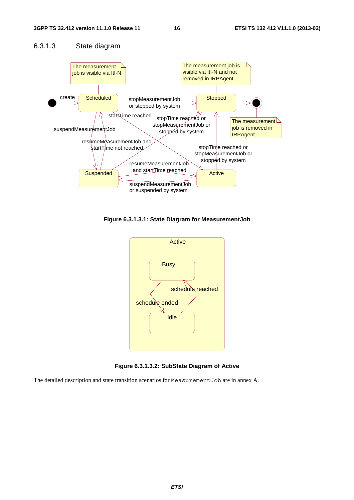### 6.3.1.3 State diagram



**Figure 6.3.1.3.1: State Diagram for MeasurementJob** 



**Figure 6.3.1.3.2: SubState Diagram of Active** 

The detailed description and state transition scenarios for MeasurementJob are in annex A.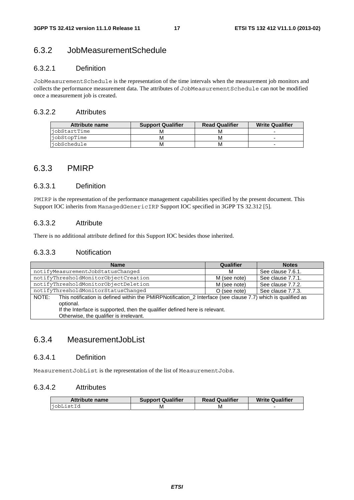### 6.3.2 JobMeasurementSchedule

### 6.3.2.1 Definition

JobMeasurementSchedule is the representation of the time intervals when the measurement job monitors and collects the performance measurement data. The attributes of JobMeasurementSchedule can not be modified once a measurement job is created.

#### 6.3.2.2 Attributes

| Attribute name     | <b>Support Qualifier</b> | <b>Read Qualifier</b> | <b>Write Qualifier</b> |
|--------------------|--------------------------|-----------------------|------------------------|
| liobStartTime      |                          | M                     |                        |
| <i>iobStopTime</i> | M                        | М                     |                        |
| <i>iobSchedule</i> | M                        | м                     |                        |

### 6.3.3 PMIRP

### 6.3.3.1 Definition

PMIRP is the representation of the performance management capabilities specified by the present document. This Support IOC inherits from ManagedGenericIRP Support IOC specified in 3GPP TS 32.312 [5].

#### 6.3.3.2 Attribute

There is no additional attribute defined for this Support IOC besides those inherited.

#### 6.3.3.3 Notification

| <b>Name</b>                                                                                                                                                                                                                                                  | Qualifier    | <b>Notes</b>      |
|--------------------------------------------------------------------------------------------------------------------------------------------------------------------------------------------------------------------------------------------------------------|--------------|-------------------|
| notifyMeasurementJobStatusChanged                                                                                                                                                                                                                            | м            | See clause 7.6.1. |
| notifyThresholdMonitorObjectCreation                                                                                                                                                                                                                         | M (see note) | See clause 7.7.1. |
| notifyThresholdMonitorObjectDeletion                                                                                                                                                                                                                         | M (see note) | See clause 7.7.2. |
| notifyThresholdMonitorStatusChanged                                                                                                                                                                                                                          | O (see note) | See clause 7.7.3. |
| This notification is defined within the PMIRPNotification_2 Interface (see clause 7.7) which is qualified as<br>NOTE:<br>optional.<br>If the Interface is supported, then the qualifier defined here is relevant.<br>Otherwise, the qualifier is irrelevant. |              |                   |

### 6.3.4 MeasurementJobList

### 6.3.4.1 Definition

MeasurementJobList is the representation of the list of MeasurementJobs.

#### 6.3.4.2 Attributes

| <b>Attribute name</b> | <b>Support Qualifier</b> | <b>Read Qualifier</b> | <b>Write Qualifier</b> |
|-----------------------|--------------------------|-----------------------|------------------------|
| jobListId             |                          | M                     |                        |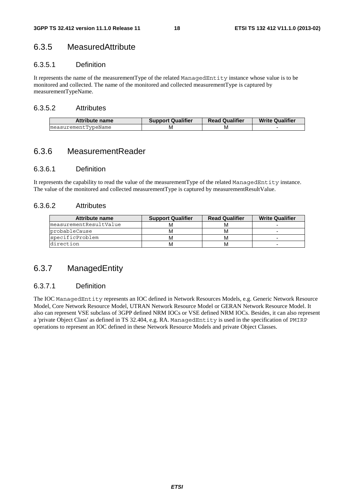### 6.3.5 MeasuredAttribute

#### 6.3.5.1 Definition

It represents the name of the measurementType of the related ManagedEntity instance whose value is to be monitored and collected. The name of the monitored and collected measurementType is captured by measurementTypeName.

#### 6.3.5.2 Attributes

| Attribute name      | <b>Support Qualifier</b> | <b>Read Qualifier</b> | <b>Write Qualifier</b> |
|---------------------|--------------------------|-----------------------|------------------------|
| measurementTypeName |                          | ΙVΙ                   |                        |

### 6.3.6 MeasurementReader

#### 6.3.6.1 Definition

It represents the capability to read the value of the measurementType of the related ManagedEntity instance. The value of the monitored and collected measurementType is captured by measurementResultValue.

#### 6.3.6.2 Attributes

| <b>Attribute name</b>  | <b>Support Qualifier</b> | <b>Read Qualifier</b> | <b>Write Qualifier</b> |
|------------------------|--------------------------|-----------------------|------------------------|
| measurementResultValue |                          | M                     |                        |
| probableCause          | м                        | М                     |                        |
| specificProblem        |                          |                       |                        |
| direction              | м                        | м                     |                        |

### 6.3.7 ManagedEntity

### 6.3.7.1 Definition

The IOC ManagedEntity represents an IOC defined in Network Resources Models, e.g. Generic Network Resource Model, Core Network Resource Model, UTRAN Network Resource Model or GERAN Network Resource Model. It also can represent VSE subclass of 3GPP defined NRM IOCs or VSE defined NRM IOCs. Besides, it can also represent a 'private Object Class' as defined in TS 32.404, e.g. RA. ManagedEntity is used in the specification of PMIRP operations to represent an IOC defined in these Network Resource Models and private Object Classes.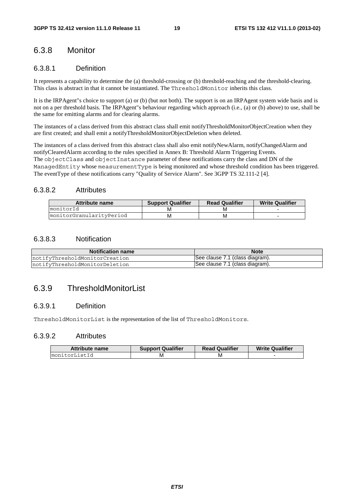### 6.3.8 Monitor

#### 6.3.8.1 Definition

It represents a capability to determine the (a) threshold-crossing or (b) threshold-reaching and the threshold-clearing. This class is abstract in that it cannot be instantiated. The ThresholdMonitor inherits this class.

It is the IRPAgent"s choice to support (a) or (b) (but not both). The support is on an IRPAgent system wide basis and is not on a per threshold basis. The IRPAgent"s behaviour regarding which approach (i.e., (a) or (b) above) to use, shall be the same for emitting alarms and for clearing alarms.

The instances of a class derived from this abstract class shall emit notifyThresholdMonitorObjectCreation when they are first created; and shall emit a notifyThresholdMonitorObjectDeletion when deleted.

The instances of a class derived from this abstract class shall also emit notifyNewAlarm, notifyChangedAlarm and notifyClearedAlarm according to the rules specified in Annex B: Threshold Alarm Triggering Events. The objectClass and objectInstance parameter of these notifications carry the class and DN of the ManagedEntity whose measurementType is being monitored and whose threshold condition has been triggered. The eventType of these notifications carry "Quality of Service Alarm". See 3GPP TS 32.111-2 [4].

#### 6.3.8.2 Attributes

| <b>Attribute name</b>    | <b>Support Qualifier</b> | <b>Read Qualifier</b> | <b>Write Qualifier</b> |
|--------------------------|--------------------------|-----------------------|------------------------|
| monitorId                | M                        | M                     |                        |
| monitorGranularityPeriod | м                        | м                     |                        |

#### 6.3.8.3 Notification

| <b>Notification name</b>       | <b>Note</b>                     |
|--------------------------------|---------------------------------|
| notifyThresholdMonitorCreation | See clause 7.1 (class diagram). |
| notifyThresholdMonitorDeletion | See clause 7.1 (class diagram). |

### 6.3.9 ThresholdMonitorList

#### 6.3.9.1 Definition

ThresholdMonitorList is the representation of the list of ThresholdMonitors.

#### 6.3.9.2 Attributes

| <b>Attribute name</b> | <b>Support Qualifier</b> | <b>Read Qualifier</b> | <b>Write Qualifier</b> |
|-----------------------|--------------------------|-----------------------|------------------------|
| ImonitorListId        | M                        | M                     |                        |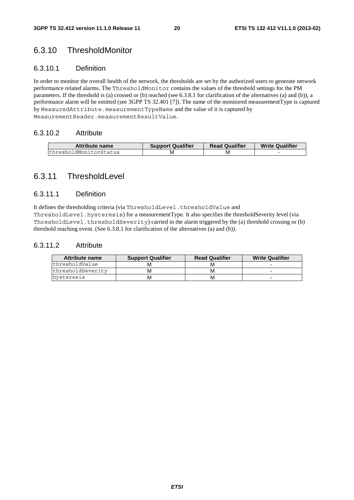### 6.3.10 ThresholdMonitor

#### 6.3.10.1 Definition

In order to monitor the overall health of the network, the thresholds are set by the authorized users to generate network performance related alarms. The ThresholdMonitor contains the values of the threshold settings for the PM parameters. If the threshold is (a) crossed or (b) reached (see 6.3.8.1 for clarification of the alternatives (a) and (b)), a performance alarm will be emitted (see 3GPP TS 32.401 [7]). The name of the monitored measurementType is captured by MeasuredAttribute.measurementTypeName and the value of it is captured by MeasurementReader.measurementResultValue.

#### 6.3.10.2 Attribute

| <b>Attribute name</b>  | <b>Support Qualifier</b> | <b>Read Qualifier</b> | <b>Write Qualifier</b> |
|------------------------|--------------------------|-----------------------|------------------------|
| thresholdMonitorStatus | M                        | М                     |                        |

### 6.3.11 ThresholdLevel

#### 6.3.11.1 Definition

It defines the thresholding criteria (via ThresholdLevel.thresholdValue and

ThresholdLevel.hysteresis) for a measurementType. It also specifies the thresholdSeverity level (via ThresholdLevel.thresholdSeverity) carried in the alarm triggered by the (a) threshold crossing or (b) threshold reaching event. (See 6.3.8.1 for clarification of the alternatives (a) and (b)).

#### 6.3.11.2 Attribute

| Attribute name    | <b>Support Qualifier</b> | <b>Read Qualifier</b> | <b>Write Qualifier</b> |
|-------------------|--------------------------|-----------------------|------------------------|
| thresholdValue    | M                        | M                     |                        |
| thresholdSeverity | М                        | M                     |                        |
| hvsteresis        | M                        | M                     |                        |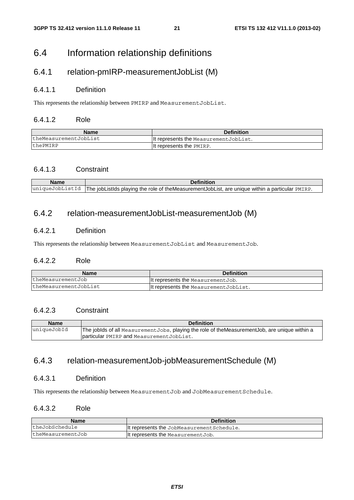### 6.4 Information relationship definitions

### 6.4.1 relation-pmIRP-measurementJobList (M)

#### 6.4.1.1 Definition

This represents the relationship between PMIRP and MeasurementJobList.

#### 6.4.1.2 Role

| Name                  | <b>Definition</b>                      |
|-----------------------|----------------------------------------|
| theMeasurementJobList | It represents the Measurement JobList. |
| thePMIRP              | It represents the PMIRP.               |

### 6.4.1.3 Constraint

|                 | <b>Definition</b>                                                                                 |
|-----------------|---------------------------------------------------------------------------------------------------|
| uniqueJobListId | The jobListIds playing the role of the Measurement JobList, are unique within a particular PMIRP. |

### 6.4.2 relation-measurementJobList-measurementJob (M)

### 6.4.2.1 Definition

This represents the relationship between MeasurementJobList and MeasurementJob.

#### 6.4.2.2 Role

| <b>Name</b>           | <b>Definition</b>                     |
|-----------------------|---------------------------------------|
| theMeasurementJob     | It represents the Measurement Job.    |
| theMeasurementJobList | It represents the MeasurementJobList. |

### 6.4.2.3 Constraint

| <b>Name</b> | <b>Definition</b>                                                                                |
|-------------|--------------------------------------------------------------------------------------------------|
| uniqueJobId | The joblds of all Measurement Jobs, playing the role of the Measurement Job, are unique within a |
|             | particular PMIRP and Measurement JobList.                                                        |

### 6.4.3 relation-measurementJob-jobMeasurementSchedule (M)

#### 6.4.3.1 Definition

This represents the relationship between MeasurementJob and JobMeasurementSchedule.

### 6.4.3.2 Role

| <b>Name</b>       | <b>Definition</b>                          |
|-------------------|--------------------------------------------|
| theJobSchedule    | It represents the JobMeasurement Schedule. |
| theMeasurementJob | It represents the MeasurementJob.          |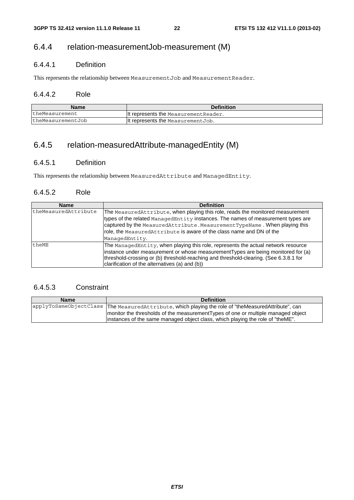### 6.4.4 relation-measurementJob-measurement (M)

### 6.4.4.1 Definition

This represents the relationship between MeasurementJob and MeasurementReader.

### 6.4.4.2 Role

| <b>Name</b>       | <b>Definition</b>                     |
|-------------------|---------------------------------------|
| theMeasurement    | It represents the Measurement Reader. |
| theMeasurementJob | It represents the MeasurementJob.     |

### 6.4.5 relation-measuredAttribute-managedEntity (M)

### 6.4.5.1 Definition

This represents the relationship between MeasuredAttribute and ManagedEntity.

#### 6.4.5.2 Role

| <b>Name</b>          | <b>Definition</b>                                                                     |
|----------------------|---------------------------------------------------------------------------------------|
| theMeasuredAttribute | The Measured Attribute, when playing this role, reads the monitored measurement       |
|                      | types of the related ManagedEntity instances. The names of measurement types are      |
|                      | captured by the MeasuredAttribute. MeasurementTypeName. When playing this             |
|                      | role, the Measured Attribute is aware of the class name and DN of the                 |
|                      | ManagedEntity.                                                                        |
| theME                | The ManagedEntity, when playing this role, represents the actual network resource     |
|                      | instance under measurement or whose measurementTypes are being monitored for (a)      |
|                      | threshold-crossing or (b) threshold-reaching and threshold-clearing. (See 6.3.8.1 for |
|                      | clarification of the alternatives (a) and (b))                                        |

### 6.4.5.3 Constraint

| <b>Name</b> | <b>Definition</b>                                                                                    |
|-------------|------------------------------------------------------------------------------------------------------|
|             | applyToSameObjectClass  The MeasuredAttribute, which playing the role of "theMeasuredAttribute", can |
|             | monitor the thresholds of the measurement Types of one or multiple managed object                    |
|             | linstances of the same managed object class, which playing the role of "theME".                      |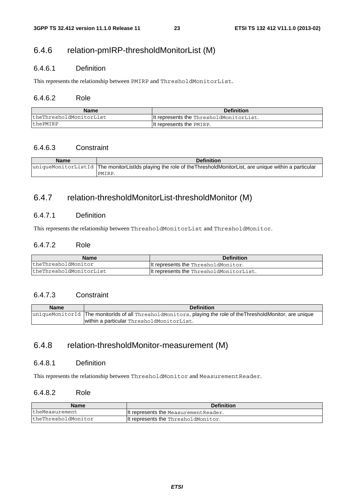### 6.4.6 relation-pmIRP-thresholdMonitorList (M)

### 6.4.6.1 Definition

This represents the relationship between PMIRP and ThresholdMonitorList.

### 6.4.6.2 Role

| <b>Name</b>             | <b>Definition</b>                        |
|-------------------------|------------------------------------------|
|                         |                                          |
| theThresholdMonitorList | llt represents the ThresholdMonitorList. |
| thePMIRP                | It represents the PMIRP.                 |

### 6.4.6.3 Constraint

| <b>Name</b> | <b>Definition</b>                                                                                                   |
|-------------|---------------------------------------------------------------------------------------------------------------------|
|             | uniqueMonitorListId  The monitorListIds playing the role of theThresholdMonitorList, are unique within a particular |
|             | PMIRP.                                                                                                              |

### 6.4.7 relation-thresholdMonitorList-thresholdMonitor (M)

#### 6.4.7.1 Definition

This represents the relationship between ThresholdMonitorList and ThresholdMonitor.

#### 6.4.7.2 Role

| <b>Name</b>             | <b>Definition</b>                        |
|-------------------------|------------------------------------------|
| theThresholdMonitor     | llt represents the ThresholdMonitor.     |
| theThresholdMonitorList | llt represents the ThresholdMonitorList. |

#### 6.4.7.3 Constraint

| <b>Name</b> | <b>Definition</b>                                                                                             |
|-------------|---------------------------------------------------------------------------------------------------------------|
|             | uniqueMonitorId  The monitorIds of all ThresholdMonitors, playing the role of theThresholdMonitor, are unique |
|             | within a particular ThresholdMonitorList.                                                                     |

### 6.4.8 relation-thresholdMonitor-measurement (M)

### 6.4.8.1 Definition

This represents the relationship between ThresholdMonitor and MeasurementReader.

#### 6.4.8.2 Role

| <b>Name</b>         | <b>Definition</b>                     |
|---------------------|---------------------------------------|
| theMeasurement      | It represents the Measurement Reader. |
| theThresholdMonitor | It represents the ThresholdMonitor.   |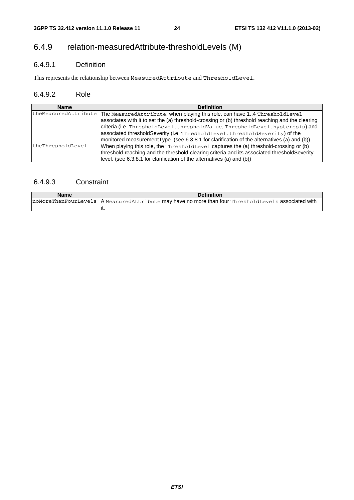### 6.4.9 relation-measuredAttribute-thresholdLevels (M)

### 6.4.9.1 Definition

This represents the relationship between MeasuredAttribute and ThresholdLevel.

### 6.4.9.2 Role

| <b>Name</b>          | <b>Definition</b>                                                                                                                                                                                                                                                                                                                                                                                                                           |
|----------------------|---------------------------------------------------------------------------------------------------------------------------------------------------------------------------------------------------------------------------------------------------------------------------------------------------------------------------------------------------------------------------------------------------------------------------------------------|
| theMeasuredAttribute | The Measured Attribute, when playing this role, can have 14 Threshold Level<br>associates with it to set the (a) threshold-crossing or (b) threshold reaching and the clearing<br>criteria (i.e. ThresholdLevel.thresholdValue, ThresholdLevel.hysteresis) and<br>associated thresholdSeverity (i.e. ThresholdLevel.thresholdSeverity) of the<br>monitored measurementType. (see 6.3.8.1 for clarification of the alternatives (a) and (b)) |
| theThresholdLevel    | When playing this role, the ThresholdLevel captures the (a) threshold-crossing or (b)<br>threshold-reaching and the threshold-clearing criteria and its associated thresholdSeverity<br>(level. (see 6.3.8.1 for clarification of the alternatives (a) and (b))                                                                                                                                                                             |

### 6.4.9.3 Constraint

| Name | <b>Definition</b>                                                                                     |
|------|-------------------------------------------------------------------------------------------------------|
|      | noMoreThanFourLevels   A MeasuredAttribute may have no more than four ThresholdLevels associated with |
|      | ιι.                                                                                                   |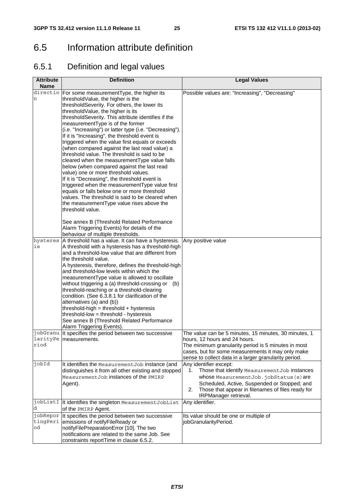### 6.5 Information attribute definition

### 6.5.1 Definition and legal values

| <b>Attribute</b><br><b>Name</b> | <b>Definition</b>                                                                                                                                                                                                                                                                                                                                                                                                                                                                                                                                                                                                                                                                                                                                                                                                                                                                                                                                                                                                                                                             | <b>Legal Values</b>                                                                                                                                                                                                                                                                                               |
|---------------------------------|-------------------------------------------------------------------------------------------------------------------------------------------------------------------------------------------------------------------------------------------------------------------------------------------------------------------------------------------------------------------------------------------------------------------------------------------------------------------------------------------------------------------------------------------------------------------------------------------------------------------------------------------------------------------------------------------------------------------------------------------------------------------------------------------------------------------------------------------------------------------------------------------------------------------------------------------------------------------------------------------------------------------------------------------------------------------------------|-------------------------------------------------------------------------------------------------------------------------------------------------------------------------------------------------------------------------------------------------------------------------------------------------------------------|
| directio<br>n                   | For some measurementType, the higher its<br>thresholdValue, the higher is the<br>thresholdSeverity. For others, the lower its<br>thresholdValue, the higher is its<br>thresholdSeverity. This attribute identifies if the<br>measurementType is of the former<br>(i.e. "Increasing") or latter type (i.e. "Decreasing").<br>If it is "Increasing", the threshold event is<br>triggered when the value first equals or exceeds<br>(when compared against the last read value) a<br>threshold value. The threshold is said to be<br>cleared when the measurementType value falls<br>below (when compared against the last read<br>value) one or more threshold values.<br>If it is "Decreasing", the threshold event is<br>triggered when the measurementType value first<br>equals or falls below one or more threshold<br>values. The threshold is said to be cleared when<br>the measurementType value rises above the<br>threshold value.<br>See annex B (Threshold Related Performance<br>Alarm Triggering Events) for details of the<br>behaviour of multiple thresholds. | Possible values are: "Increasing", "Decreasing"                                                                                                                                                                                                                                                                   |
| hysteres<br>is                  | A threshold has a value. It can have a hysteresis.<br>A threshold with a hysteresis has a threshold-high<br>and a threshold-low value that are different from<br>the threshold value.<br>A hysteresis, therefore, defines the threshold-high<br>and threshold-low levels within which the<br>measurementType value is allowed to oscillate<br>without triggering a (a) threshold-crossing or (b)<br>threshold-reaching or a threshold-clearing<br>condition. (See 6.3.8.1 for clarification of the<br>alternatives (a) and (b))<br>threshold-high = threshold + hysteresis<br>threshold-low = threshold - hysteresis<br>See annex B (Threshold Related Performance<br>Alarm Triggering Events).                                                                                                                                                                                                                                                                                                                                                                               | Any positive value                                                                                                                                                                                                                                                                                                |
| riod                            | jobGranu It specifies the period between two successive<br>larityPe measurements.                                                                                                                                                                                                                                                                                                                                                                                                                                                                                                                                                                                                                                                                                                                                                                                                                                                                                                                                                                                             | The value can be 5 minutes, 15 minutes, 30 minutes, 1<br>hours, 12 hours and 24 hours.<br>The minimum granularity period is 5 minutes in most<br>cases, but for some measurements it may only make                                                                                                                |
| jobId                           | It identifies the Measurement Job instance (and<br>distinguishes it from all other existing and stopped<br>MeasurementJob instances of the PMIRP<br>Agent).                                                                                                                                                                                                                                                                                                                                                                                                                                                                                                                                                                                                                                                                                                                                                                                                                                                                                                                   | sense to collect data in a larger granularity period.<br>Any identifier except:<br>Those that identify MeasurementJob instances<br>1.<br>whose MeasurementJob.jobStatus(s)are<br>Scheduled, Active, Suspended or Stopped; and<br>Those that appear in filenames of files ready for<br>2.<br>IRPManager retrieval. |
| d<br>jobRepor                   | jobListI It identifies the singleton MeasurementJobList<br>of the PMIRP Agent.<br>It specifies the period between two successive                                                                                                                                                                                                                                                                                                                                                                                                                                                                                                                                                                                                                                                                                                                                                                                                                                                                                                                                              | Any identifier.<br>Its value should be one or multiple of                                                                                                                                                                                                                                                         |
| tingPeri<br>od                  | emissions of notifyFileReady or<br>notifyFilePreparationError [10]. The two<br>notifications are related to the same Job. See<br>constraints reportTime in clause 6.5.2.                                                                                                                                                                                                                                                                                                                                                                                                                                                                                                                                                                                                                                                                                                                                                                                                                                                                                                      | jobGranularityPeriod.                                                                                                                                                                                                                                                                                             |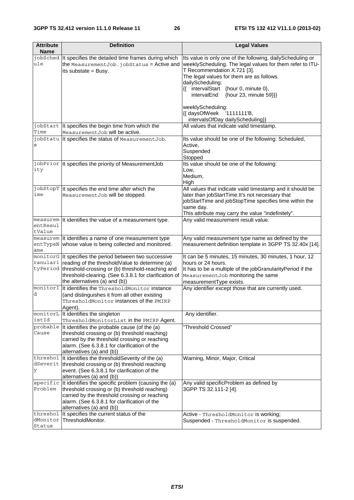| <b>Attribute</b><br><b>Name</b> | <b>Definition</b>                                                                                                                                                                                                                                                | <b>Legal Values</b>                                                                                                                                                                                                                                                                                                           |
|---------------------------------|------------------------------------------------------------------------------------------------------------------------------------------------------------------------------------------------------------------------------------------------------------------|-------------------------------------------------------------------------------------------------------------------------------------------------------------------------------------------------------------------------------------------------------------------------------------------------------------------------------|
| ule                             | jobSched It specifies the detailed time frames during which<br>the MeasurementJob.jobStatus = Active and<br>its substate = Busy.                                                                                                                                 | Its value is only one of the following, dailyScheduling or<br>weeklyScheduling. The legal values for them refer to ITU-<br>T Recommendation X.721 [3].<br>The legal values for them are as follows.<br>dailyScheduling:<br>{{ intervalStart {hour 0, minute 0},<br>intervalEnd<br>{hour 23, minute 59}}}<br>weeklyScheduling: |
|                                 | jobStart It specifies the begin time from which the                                                                                                                                                                                                              | {{ daysOfWeek<br>$'1111111'B$ ,<br>intervalsOfDay dailyScheduling}}<br>All values that indicate valid timestamp.                                                                                                                                                                                                              |
| Time                            | MeasurementJob will be active.                                                                                                                                                                                                                                   |                                                                                                                                                                                                                                                                                                                               |
| S                               | jobStatu It specifies the status of MeasurementJob.                                                                                                                                                                                                              | Its value should be one of the following: Scheduled,<br>Active,<br>Suspended<br>Stopped                                                                                                                                                                                                                                       |
| ity                             | jobPrior  It specifies the priority of MeasurementJob                                                                                                                                                                                                            | Its value should be one of the following:<br>Low,<br>Medium,<br>High                                                                                                                                                                                                                                                          |
| ime                             | jobStopT It specifies the end time after which the<br>MeasurementJob will be stopped.                                                                                                                                                                            | All values that indicate valid timestamp and it should be<br>later than jobStartTime.It's not necessary that<br>jobStartTime and jobStopTime specifies time within the<br>same day.<br>This attribute may carry the value "indefinitely".                                                                                     |
| entResul<br>tValue              | measurem It identifies the value of a measurement type.                                                                                                                                                                                                          | Any valid measurement result value.                                                                                                                                                                                                                                                                                           |
| ame                             | measurem It identifies a name of one measurement type<br>entTypeN whose value is being collected and monitored.                                                                                                                                                  | Any valid measurement type name as defined by the<br>measurement definition template in 3GPP TS 32.40x [14].                                                                                                                                                                                                                  |
| ranulari                        | monitorG It specifies the period between two successive<br>reading of the thresholdValue to determine (a)<br>tyPeriod threshold-crossing or (b) threshold-reaching and<br>threshold-clearing. (See 6.3.8.1 for clarification of<br>the alternatives (a) and (b)) | It can be 5 minutes, 15 minutes, 30 minutes, 1 hour, 12<br>hours or 24 hours.<br>It has to be a multiple of the jobGranularityPeriod if the<br>MeasurementJob monitoring the same<br>measurementType exists.                                                                                                                  |
| monitorI<br>d                   | It identifies the ThresholdMonitor instance<br>(and distinguishes it from all other existing<br>ThresholdMonitor instances of the PMIRP<br>Agent).                                                                                                               | Any identifier except those that are currently used.                                                                                                                                                                                                                                                                          |
| istId                           | monitorL It identifies the singleton<br>ThresholdMonitorList in the PMIRP Agent.                                                                                                                                                                                 | Any identifier.                                                                                                                                                                                                                                                                                                               |
| probable<br>Cause               | It identifies the probable cause (of the (a)<br>threshold crossing or (b) threshold reaching)<br>carried by the threshold crossing or reaching<br>alarm. (See 6.3.8.1 for clarification of the<br>alternatives (a) and (b))                                      | "Threshold Crossed"                                                                                                                                                                                                                                                                                                           |
| threshol<br>У                   | It identifies the thresholdSeverity of the (a)<br>dSeverit   threshold crossing or (b) threshold reaching<br>event. (See 6.3.8.1 for clarification of the<br>alternatives (a) and (b))                                                                           | Warning, Minor, Major, Critical                                                                                                                                                                                                                                                                                               |
| specific<br>Problem             | It identifies the specific problem (causing the (a)<br>threshold crossing or (b) threshold reaching)<br>carried by the threshold crossing or reaching<br>alarm. (See 6.3.8.1 for clarification of the<br>alternatives (a) and (b))                               | Any valid specificProblem as defined by<br>3GPP TS 32.111-2 [4].                                                                                                                                                                                                                                                              |
| threshol<br>dMonitor<br>Status  | It specifies the current status of the<br>ThresholdMonitor.                                                                                                                                                                                                      | Active - ThresholdMonitor is working;<br>Suspended - ThresholdMonitor is suspended.                                                                                                                                                                                                                                           |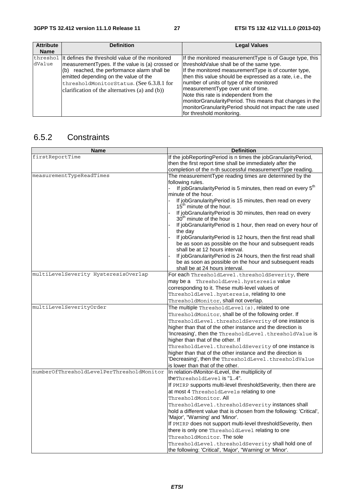| <b>Attribute</b> | <b>Definition</b>                                                                                                                                                                                                                                                                                        | <b>Legal Values</b>                                                                                                                                                                                                                                                                                                                                                                                                                                                            |
|------------------|----------------------------------------------------------------------------------------------------------------------------------------------------------------------------------------------------------------------------------------------------------------------------------------------------------|--------------------------------------------------------------------------------------------------------------------------------------------------------------------------------------------------------------------------------------------------------------------------------------------------------------------------------------------------------------------------------------------------------------------------------------------------------------------------------|
| <b>Name</b>      |                                                                                                                                                                                                                                                                                                          |                                                                                                                                                                                                                                                                                                                                                                                                                                                                                |
| dValue           | threshol It defines the threshold value of the monitored<br>measurementTypes. If the value is (a) crossed or<br>reached, the performance alarm shall be<br>(b)<br>emitted depending on the value of the<br>thresholdMonitorStatus. (See 6.3.8.1 for<br>clarification of the alternatives (a) and $(b)$ ) | If the monitored measurement Type is of Gauge type, this<br>threshold Value shall be of the same type.<br>If the monitored measurementType is of counter type,<br>then this value should be expressed as a rate, i.e., the<br>number of units of type of the monitored<br>measurementType over unit of time.<br>Note this rate is independent from the<br>monitorGranularityPeriod. This means that changes in the<br>monitorGranularityPeriod should not impact the rate used |
|                  |                                                                                                                                                                                                                                                                                                          | for threshold monitoring.                                                                                                                                                                                                                                                                                                                                                                                                                                                      |

### 6.5.2 Constraints

| <b>Name</b>                               | <b>Definition</b>                                                                                               |
|-------------------------------------------|-----------------------------------------------------------------------------------------------------------------|
| firstReportTime                           | If the jobReportingPeriod is n times the jobGranularityPeriod,                                                  |
|                                           | then the first report time shall be immediately after the                                                       |
|                                           | completion of the n-th successful measurementType reading.                                                      |
| measurementTypeReadTimes                  | The measurementType reading times are determined by the                                                         |
|                                           | following rules.                                                                                                |
|                                           | If jobGranularityPeriod is 5 minutes, then read on every 5 <sup>th</sup>                                        |
|                                           | minute of the hour.                                                                                             |
|                                           | If jobGranularityPeriod is 15 minutes, then read on every<br>15 <sup>th</sup> minute of the hour.               |
|                                           | If jobGranularityPeriod is 30 minutes, then read on every<br>30 <sup>th</sup> minute of the hour                |
|                                           | If jobGranularityPeriod is 1 hour, then read on every hour of<br>the day                                        |
|                                           | If jobGranularityPeriod is 12 hours, then the first read shall                                                  |
|                                           | be as soon as possible on the hour and subsequent reads                                                         |
|                                           | shall be at 12 hours interval.                                                                                  |
|                                           | If jobGranularityPeriod is 24 hours, then the first read shall                                                  |
|                                           | be as soon as possible on the hour and subsequent reads                                                         |
|                                           | shall be at 24 hours interval.                                                                                  |
| multiLevelSeverity HysteresisOverlap      | For each ThresholdLevel.thresholdSeverity, there                                                                |
|                                           | may be a ThresholdLevel. hysteresis value                                                                       |
|                                           | corresponding to it. These multi-level values of                                                                |
|                                           | ThresholdLevel.hysteresis, relating to one                                                                      |
|                                           | ThresholdMonitor, shall not overlap.                                                                            |
| multiLevelSeverityOrder                   | The multiple ThresholdLevel (s), related to one                                                                 |
|                                           | ThresholdMonitor, shall be of the following order. If                                                           |
|                                           | ThresholdLevel.thresholdSeverity of one instance is                                                             |
|                                           | higher than that of the other instance and the direction is                                                     |
|                                           | 'Increasing', then the ThresholdLevel.thresholdValue is                                                         |
|                                           | higher than that of the other. If                                                                               |
|                                           | ThresholdLevel.thresholdSeverity of one instance is                                                             |
|                                           | higher than that of the other instance and the direction is                                                     |
|                                           | 'Decreasing', then the ThresholdLevel.thresholdValue                                                            |
|                                           | is lower than that of the other.                                                                                |
| numberOfThresholdLevelPerThresholdMonitor | In relation-tMonitor-tLevel, the multiplicity of                                                                |
|                                           | theThresholdLevel is "14".                                                                                      |
|                                           | If PMIRP supports multi-level threshold Severity, then there are                                                |
|                                           | at most 4 ThresholdLevels relating to one                                                                       |
|                                           | ThresholdMonitor. All                                                                                           |
|                                           | ThresholdLevel.thresholdSeverity instances shall                                                                |
|                                           | hold a different value that is chosen from the following: 'Critical',                                           |
|                                           | 'Major', "Warning' and 'Minor'.                                                                                 |
|                                           | If PMIRP does not support multi-level thresholdSeverity, then                                                   |
|                                           | there is only one ThresholdLevel relating to one                                                                |
|                                           | ThresholdMonitor. The sole                                                                                      |
|                                           | ThresholdLevel.thresholdSeverity shall hold one of<br>the following: 'Critical', 'Major', "Warning' or 'Minor'. |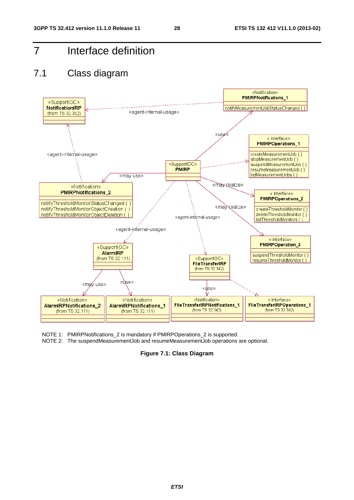7 Interface definition

### 7.1 Class diagram



- NOTE 1: PMIRPNotifications\_2 is mandatory if PMIRPOperations\_2 is supported.
- NOTE 2: The suspendMeasurementJob and resumeMeasurementJob operations are optional.

**Figure 7.1: Class Diagram**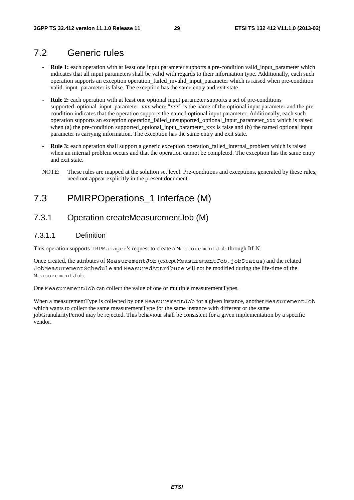### 7.2 Generic rules

- **Rule 1:** each operation with at least one input parameter supports a pre-condition valid\_input\_parameter which indicates that all input parameters shall be valid with regards to their information type. Additionally, each such operation supports an exception operation\_failed\_invalid\_input\_parameter which is raised when pre-condition valid\_input\_parameter is false. The exception has the same entry and exit state.
- **Rule 2:** each operation with at least one optional input parameter supports a set of pre-conditions supported\_optional\_input\_parameter\_xxx where "xxx" is the name of the optional input parameter and the precondition indicates that the operation supports the named optional input parameter. Additionally, each such operation supports an exception operation\_failed\_unsupported\_optional\_input\_parameter\_xxx which is raised when (a) the pre-condition supported\_optional\_input\_parameter\_xxx is false and (b) the named optional input parameter is carrying information. The exception has the same entry and exit state.
- **Rule 3:** each operation shall support a generic exception operation\_failed\_internal\_problem which is raised when an internal problem occurs and that the operation cannot be completed. The exception has the same entry and exit state.
- NOTE: These rules are mapped at the solution set level. Pre-conditions and exceptions, generated by these rules, need not appear explicitly in the present document.

### 7.3 PMIRPOperations 1 Interface (M)

### 7.3.1 Operation createMeasurementJob (M)

#### 7.3.1.1 Definition

This operation supports IRPManager's request to create a MeasurementJob through Itf-N.

Once created, the attributes of MeasurementJob (except MeasurementJob.jobStatus) and the related JobMeasurementSchedule and MeasuredAttribute will not be modified during the life-time of the MeasurementJob.

One MeasurementJob can collect the value of one or multiple measurementTypes.

When a measurementType is collected by one MeasurementJob for a given instance, another MeasurementJob which wants to collect the same measurementType for the same instance with different or the same jobGranularityPeriod may be rejected. This behaviour shall be consistent for a given implementation by a specific vendor.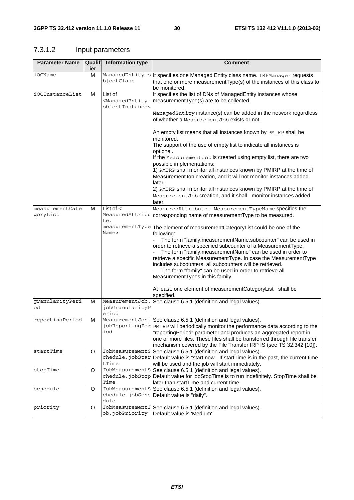### 7.3.1.2 Input parameters

| <b>Parameter Name</b> | <b>Qualif</b> | Information type                            | <b>Comment</b>                                                                                                                                                                                                                                                                                                                                                                                                           |
|-----------------------|---------------|---------------------------------------------|--------------------------------------------------------------------------------------------------------------------------------------------------------------------------------------------------------------------------------------------------------------------------------------------------------------------------------------------------------------------------------------------------------------------------|
|                       | ier           |                                             |                                                                                                                                                                                                                                                                                                                                                                                                                          |
| iOCName               | M             | bjectClass                                  | ManagedEntity.ollt specifies one Managed Entity class name. IRPManager requests<br>that one or more measurementType(s) of the instances of this class to<br>be monitored.                                                                                                                                                                                                                                                |
| iOCInstanceList       | M             | List of<br>objectInstance>                  | It specifies the list of DNs of ManagedEntity instances whose<br><managedentity. are="" be="" collected.<="" measurement="" td="" to="" type(s)=""  =""></managedentity.>                                                                                                                                                                                                                                                |
|                       |               |                                             | ManagedEntity instance(s) can be added in the network regardless<br>of whether a Measurement Job exists or not.                                                                                                                                                                                                                                                                                                          |
|                       |               |                                             | An empty list means that all instances known by PMIRP shall be<br>monitored.                                                                                                                                                                                                                                                                                                                                             |
|                       |               |                                             | The support of the use of empty list to indicate all instances is<br>optional.                                                                                                                                                                                                                                                                                                                                           |
|                       |               |                                             | If the Measurement Job is created using empty list, there are two<br>possible implementations:                                                                                                                                                                                                                                                                                                                           |
|                       |               |                                             | 1) PMIRP shall monitor all instances known by PMIRP at the time of<br>MeasurementJob creation, and it will not monitor instances added                                                                                                                                                                                                                                                                                   |
|                       |               |                                             | later.<br>2) PMIRP shall monitor all instances known by PMIRP at the time of                                                                                                                                                                                                                                                                                                                                             |
|                       |               |                                             | MeasurementJob creation, and it shall monitor instances added<br>later.                                                                                                                                                                                                                                                                                                                                                  |
| measurementCate       | M             | List of $\lt$                               | MeasuredAttribute. MeasurementTypeName specifies the                                                                                                                                                                                                                                                                                                                                                                     |
| qoryList              |               | te.                                         | MeasuredAttribu corresponding name of measurementType to be measured.                                                                                                                                                                                                                                                                                                                                                    |
|                       |               | Name>                                       | measurementType The element of measurementCategoryList could be one of the<br>following:                                                                                                                                                                                                                                                                                                                                 |
|                       |               |                                             | The form "family.measurementName.subcounter" can be used in<br>order to retrieve a specified subcounter of a MeasurementType.<br>The form "family.measurementName" can be used in order to<br>retrieve a specific MeasurementType. In case the MeasurementType<br>includes subcounters, all subcounters will be retrieved.<br>The form "family" can be used in order to retrieve all<br>MeasurementTypes in this family. |
|                       |               |                                             | At least, one element of measurementCategoryList shall be<br>specified.                                                                                                                                                                                                                                                                                                                                                  |
| granularityPeri<br>od | M             | MeasurementJob.<br>jobGranularityP<br>eriod | See clause 6.5.1 (definition and legal values).                                                                                                                                                                                                                                                                                                                                                                          |
| reportingPeriod       | м             | iod                                         | MeasurementJob. See clause 6.5.1 (definition and legal values).<br>jobReportingPer PMIRP will periodically monitor the performance data according to the<br>"reportingPeriod" parameter and produces an aggregated report in<br>one or more files. These files shall be transferred through file transfer<br>mechanism covered by the File Transfer IRP IS (see TS 32.342 [10]).                                         |
| startTime             | O             | tTime                                       | JobMeasurements See clause 6.5.1 (definition and legal values).<br>chedule. jobStar Default value is "start now". If startTime is in the past, the current time<br>will be used and the job will start immediately.                                                                                                                                                                                                      |
| stopTime              | O             | Time                                        | JobMeasurementS See clause 6.5.1 (definition and legal values).<br>chedule.jobStop Default value for jobStopTime is to run indefinitely. StopTime shall be<br>later than startTime and current time.                                                                                                                                                                                                                     |
| schedule              | O             | dule                                        | JobMeasurements See clause 6.5.1 (definition and legal values).<br>chedule.jobSche Default value is "daily".                                                                                                                                                                                                                                                                                                             |
| priority              | O             | ob.jobPriority                              | JobMeasurementJ See clause 6.5.1 (definition and legal values).<br>Default value is 'Medium'                                                                                                                                                                                                                                                                                                                             |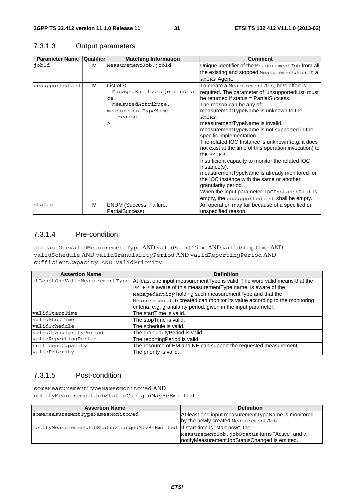| <b>Parameter Name</b> | Qualifier | <b>Matching Information</b> | Comment                                                              |
|-----------------------|-----------|-----------------------------|----------------------------------------------------------------------|
| jobId                 | м         | MeasurementJob.jobId        | Unique identifier of the Measurement Job from all                    |
|                       |           |                             | the existing and stopped MeasurementJobs in a                        |
|                       |           |                             | PMIRP Agent.                                                         |
| unsupportedList       | м         | List of $\lt$               | To create a Measurement Job, best-effort is                          |
|                       |           | ManagedEntity.objectInstan  | required. The parameter of 'unsupportedList' must                    |
|                       |           | ce,                         | be returned if status = PartialSuccess.                              |
|                       |           | MeasuredAttribute.          | The reason can be any of:                                            |
|                       |           | measurementTypeName,        | measurementTypeName is unknown to the                                |
|                       |           | reason                      | PMIRP.                                                               |
|                       |           |                             | measurementTypeName is invalid.                                      |
|                       |           |                             | measurementTypeName is not supported in the                          |
|                       |           |                             | specific implementation.                                             |
|                       |           |                             | The related IOC Instance is unknown (e.g. it does                    |
|                       |           |                             | not exist at the time of this operation invocation) to<br>the PMIRP. |
|                       |           |                             | Insufficient capacity to monitor the related IOC<br>Instance(s).     |
|                       |           |                             | measurementTypeName is already monitored for                         |
|                       |           |                             | the IOC instance with the same or another                            |
|                       |           |                             | granularity period.                                                  |
|                       |           |                             | When the input parameter iOCInstanceList is                          |
|                       |           |                             | empty, the unsupportedList shall be empty.                           |
| status                | м         | ENUM (Success, Failure,     | An operation may fail because of a specified or                      |
|                       |           | PartialSuccess)             | unspecified reason.                                                  |

### 7.3.1.3 Output parameters

### 7.3.1.4 Pre-condition

atLeastOneValidMeasurementType AND validStartTime AND validStopTime AND validSchedule AND validGranularityPeriod AND validReportingPeriod AND sufficientCapacity AND validPriority.

| <b>Assertion Name</b>          | <b>Definition</b>                                                          |
|--------------------------------|----------------------------------------------------------------------------|
| atLeastOneValidMeasurementType | At least one input measurementType is valid. The word valid means that the |
|                                | PMIRP is aware of this measurementType name, is aware of the               |
|                                | ManagedEntity holding such measurementType and that the                    |
|                                | MeasurementJob created can monitor its value according to the monitoring   |
|                                | criteria, e.g. granularity period, given in the input parameter.           |
| validStartTime                 | The startTime is valid.                                                    |
| validStopTime                  | The stopTime is valid.                                                     |
| validSchedule                  | The schedule is valid.                                                     |
| validGranularityPeriod         | The granularity Period is valid.                                           |
| validReportingPeriod           | The reportingPeriod is valid.                                              |
| sufficentCapacity              | The resource of EM and NE can support the requested measurement.           |
| validPriority                  | The priority is valid.                                                     |

### 7.3.1.5 Post-condition

someMeasurementTypeNamesMonitored AND notifyMeasurementJobStatusChangedMayBeEmitted.

| <b>Assertion Name</b>                                                             | <b>Definition</b>                                   |
|-----------------------------------------------------------------------------------|-----------------------------------------------------|
| someMeasurementTypeNamesMonitored                                                 | At least one input measurementTypeName is monitored |
|                                                                                   | by the newly created MeasurementJob.                |
| notifyMeasurementJobStatusChangedMayBeEmitted   If start time is "start now", the |                                                     |
|                                                                                   | MeasurementJob.jobStatus turns "Active" and a       |
|                                                                                   | InotifyMeasurementJobStatusChanged is emitted.      |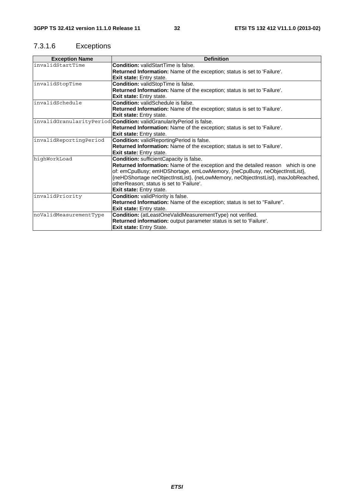### 7.3.1.6 Exceptions

| <b>Exception Name</b>  | <b>Definition</b>                                                                |
|------------------------|----------------------------------------------------------------------------------|
| invalidStartTime       | <b>Condition: validStartTime is false.</b>                                       |
|                        | Returned Information: Name of the exception; status is set to 'Failure'.         |
|                        | <b>Exit state:</b> Entry state.                                                  |
| invalidStopTime        | <b>Condition: validStopTime is false.</b>                                        |
|                        | Returned Information: Name of the exception; status is set to 'Failure'.         |
|                        | <b>Exit state:</b> Entry state.                                                  |
| invalidSchedule        | <b>Condition:</b> validSchedule is false.                                        |
|                        | Returned Information: Name of the exception; status is set to 'Failure'.         |
|                        | <b>Exit state:</b> Entry state.                                                  |
|                        | invalidGranularityPeriod Condition: validGranularityPeriod is false.             |
|                        | Returned Information: Name of the exception; status is set to 'Failure'.         |
|                        | <b>Exit state:</b> Entry state.                                                  |
| invalidReportingPeriod | Condition: validReportingPeriod is false.                                        |
|                        | Returned Information: Name of the exception; status is set to 'Failure'.         |
|                        | <b>Exit state:</b> Entry state.                                                  |
| hiqhWorkLoad           | Condition: sufficientCapacity is false.                                          |
|                        | Returned Information: Name of the exception and the detailed reason which is one |
|                        | of: emCpuBusy; emHDShortage, emLowMemory, {neCpuBusy, neObjectInstList},         |
|                        | {neHDShortage neObjectInstList}, {neLowMemory, neObjectInstList}, maxJobReached, |
|                        | otherReason; status is set to 'Failure'.                                         |
|                        | Exit state: Entry state.                                                         |
| invalidPriority        | Condition: validPriority is false.                                               |
|                        | Returned Information: Name of the exception; status is set to "Failure".         |
|                        | Exit state: Entry state.                                                         |
| noValidMeasurementType | Condition: (atLeastOneValidMeasurementType) not verified.                        |
|                        | Returned information: output parameter status is set to 'Failure'.               |
|                        | Exit state: Entry State.                                                         |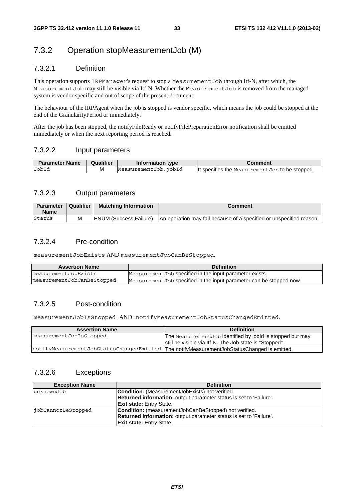### 7.3.2 Operation stopMeasurementJob (M)

### 7.3.2.1 Definition

This operation supports IRPManager's request to stop a MeasurementJob through Itf-N, after which, the MeasurementJob may still be visible via Itf-N. Whether the MeasurementJob is removed from the managed system is vendor specific and out of scope of the present document.

The behaviour of the IRPAgent when the job is stopped is vendor specific, which means the job could be stopped at the end of the GranularityPeriod or immediately.

After the job has been stopped, the notifyFileReady or notifyFilePreparationError notification shall be emitted immediately or when the next reporting period is reached.

#### 7.3.2.2 Input parameters

| <b>Parameter Name</b> | <b>Qualifier</b> | Information type     | Comment                                         |
|-----------------------|------------------|----------------------|-------------------------------------------------|
| JobId                 |                  | MeasurementJob.jobId | It specifies the Measurement Job to be stopped. |

### 7.3.2.3 Output parameters

| <b>Parameter</b><br><b>Name</b> | Qualifier | <b>Matching Information</b>     | Comment                                                             |
|---------------------------------|-----------|---------------------------------|---------------------------------------------------------------------|
| Status                          | М         | <b>IENUM (Success, Failure)</b> | An operation may fail because of a specified or unspecified reason. |

### 7.3.2.4 Pre-condition

measurementJobExists AND measurementJobCanBeStopped.

| <b>Assertion Name</b>      | <b>Definition</b>                                                    |
|----------------------------|----------------------------------------------------------------------|
| measurementJobExists       | Measurement Job specified in the input parameter exists.             |
| measurementJobCanBeStopped | Measurement Job specified in the input parameter can be stopped now. |

### 7.3.2.5 Post-condition

measurementJobIsStopped AND notifyMeasurementJobStatusChangedEmitted.

| <b>Assertion Name</b>                                                                      | <b>Definition</b>                                         |
|--------------------------------------------------------------------------------------------|-----------------------------------------------------------|
| measurementJobIsStopped.                                                                   | The MeasurementJob identified by jobld is stopped but may |
|                                                                                            | still be visible via Itf-N. The Job state is "Stopped".   |
| notifyMeasurementJobStatusChangedEmitted The notifyMeasurementJobStatusChanged is emitted. |                                                           |
|                                                                                            |                                                           |

### 7.3.2.6 Exceptions

| <b>Exception Name</b> | <b>Definition</b>                                                  |
|-----------------------|--------------------------------------------------------------------|
| unknownJob            | <b>Condition:</b> (Measurement Job Exists) not verified.           |
|                       | Returned information: output parameter status is set to 'Failure'. |
|                       | <b>Exit state: Entry State.</b>                                    |
| iobCannotBeStopped    | <b>Condition:</b> (measurementJobCanBeStopped) not verified.       |
|                       | Returned information: output parameter status is set to 'Failure'. |
|                       | <b>Exit state: Entry State.</b>                                    |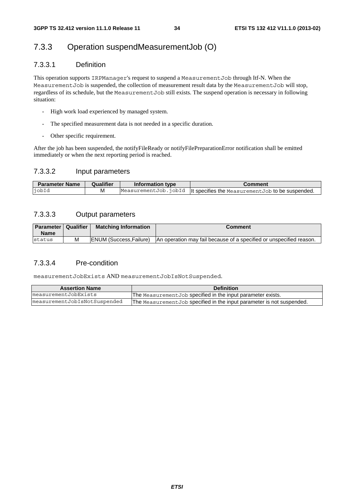### 7.3.3 Operation suspendMeasurementJob (O)

### 7.3.3.1 Definition

This operation supports IRPManager's request to suspend a MeasurementJob through Itf-N. When the MeasurementJob is suspended, the collection of measurement result data by the MeasurementJob will stop, regardless of its schedule, but the MeasurementJob still exists. The suspend operation is necessary in following situation:

- High work load experienced by managed system.
- The specified measurement data is not needed in a specific duration.
- Other specific requirement.

After the job has been suspended, the notifyFileReady or notifyFilePreparationError notification shall be emitted immediately or when the next reporting period is reached.

#### 7.3.3.2 Input parameters

| <b>Parameter Name</b> | Qualifier | Information type | Comment                                                                      |
|-----------------------|-----------|------------------|------------------------------------------------------------------------------|
| iobId                 | м         |                  | Measurement Job. $j$ obId   t specifies the Measurement Job to be suspended. |

### 7.3.3.3 Output parameters

| <b>Parameter   Qualifier</b><br><b>Name</b> |   | <b>Matching Information</b>     | Comment                                                             |
|---------------------------------------------|---|---------------------------------|---------------------------------------------------------------------|
| status                                      | м | <b>IENUM (Success, Failure)</b> | An operation may fail because of a specified or unspecified reason. |

### 7.3.3.4 Pre-condition

measurementJobExists AND measurementJobIsNotSuspended.

| <b>Assertion Name</b>        | <b>Definition</b>                                                      |
|------------------------------|------------------------------------------------------------------------|
| measurementJobExists         | The Measurement Job specified in the input parameter exists.           |
| measurementJobIsNotSuspended | The Measurement Job specified in the input parameter is not suspended. |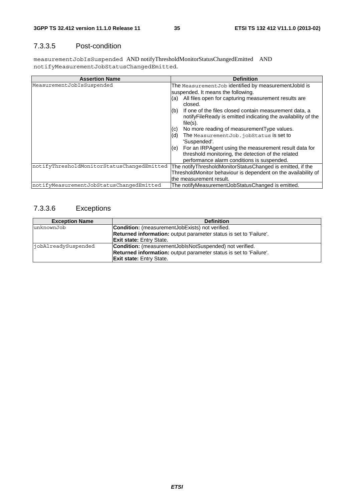### 7.3.3.5 Post-condition

measurementJobIsSuspended AND notifyThresholdMonitorStatusChangedEmitted AND notifyMeasurementJobStatusChangedEmitted.

| <b>Assertion Name</b>                      | <b>Definition</b>                                                                                                                                                      |
|--------------------------------------------|------------------------------------------------------------------------------------------------------------------------------------------------------------------------|
| MeasurementJobIsSuspended                  | The Measurement Job identified by measurement Jobld is<br>suspended. It means the following.<br>All files open for capturing measurement results are<br>(a)<br>closed. |
|                                            | If one of the files closed contain measurement data, a<br>(b)<br>notify File Ready is emitted indicating the availability of the<br>$file(s)$ .                        |
|                                            | No more reading of measurement Type values.<br>(c)                                                                                                                     |
|                                            | The Measurement Job. jobStatus is set to<br>(d)<br>'Suspended'.                                                                                                        |
|                                            | For an IRPAgent using the measurement result data for<br>(e)<br>threshold monitoring, the detection of the related<br>performance alarm conditions is suspended.       |
| notifyThresholdMonitorStatusChangedEmitted | The notifyThresholdMonitorStatusChanged is emitted, if the                                                                                                             |
|                                            | ThresholdMonitor behaviour is dependent on the availability of                                                                                                         |
|                                            | the measurement result.                                                                                                                                                |
| notifyMeasurementJobStatusChangedEmitted   | The notifyMeasurementJobStatusChanged is emitted.                                                                                                                      |

### 7.3.3.6 Exceptions

| <b>Exception Name</b> | <b>Definition</b>                                                  |
|-----------------------|--------------------------------------------------------------------|
| unknownJob            | <b>Condition:</b> (measurementJobExists) not verified.             |
|                       | Returned information: output parameter status is set to 'Failure'. |
|                       | <b>Exit state:</b> Entry State.                                    |
| jobAlreadySuspended   | <b>Condition:</b> (measurementJoblsNotSuspended) not verified.     |
|                       | Returned information: output parameter status is set to 'Failure'. |
|                       | <b>Exit state: Entry State.</b>                                    |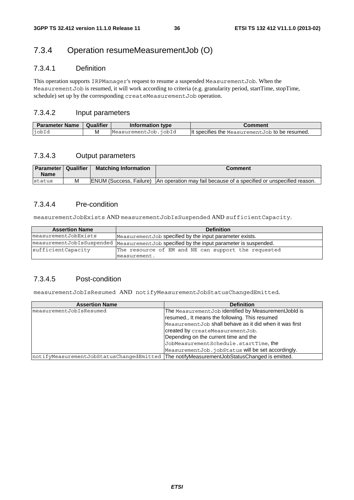### 7.3.4 Operation resumeMeasurementJob (O)

### 7.3.4.1 Definition

This operation supports IRPManager's request to resume a suspended MeasurementJob. When the MeasurementJob is resumed, it will work according to criteria (e.g. granularity period, startTime, stopTime, schedule) set up by the corresponding createMeasurementJob operation.

### 7.3.4.2 Input parameters

| <b>Parameter Name</b> | Qualifier | Information type     | Comment                                        |
|-----------------------|-----------|----------------------|------------------------------------------------|
| <b>i</b> obId         | M         | MeasurementJob.iobId | It specifies the Measurement Job to be resumed |

### 7.3.4.3 Output parameters

| <b>Parameter   Qualifier</b><br><b>Name</b> | <b>Matching Information</b>     | Comment                                                             |
|---------------------------------------------|---------------------------------|---------------------------------------------------------------------|
| Istatus                                     | <b>IENUM (Success, Failure)</b> | An operation may fail because of a specified or unspecified reason. |

### 7.3.4.4 Pre-condition

measurementJobExists AND measurementJobIsSuspended AND sufficientCapacity.

| <b>Assertion Name</b> | <b>Definition</b>                                                                         |
|-----------------------|-------------------------------------------------------------------------------------------|
| measurementJobExists  | Measurement Job specified by the input parameter exists.                                  |
|                       | measurementJobIsSuspended   MeasurementJob specified by the input parameter is suspended. |
| sufficientCapacity    | The resource of EM and NE can support the requested                                       |
|                       | measurement.                                                                              |

### 7.3.4.5 Post-condition

measurementJobIsResumed AND notifyMeasurementJobStatusChangedEmitted.

| <b>Assertion Name</b>                                                                      | <b>Definition</b>                                       |
|--------------------------------------------------------------------------------------------|---------------------------------------------------------|
| measurementJobIsResumed                                                                    | The MeasurementJob identified by MeasurementJobld is    |
|                                                                                            | resumed., It means the following. This resumed          |
|                                                                                            | MeasurementJob shall behave as it did when it was first |
|                                                                                            | created by createMeasurementJob.                        |
|                                                                                            | Depending on the current time and the                   |
|                                                                                            | JobMeasurementSchedule.startTime, the                   |
|                                                                                            | MeasurementJob.jobStatus will be set accordingly.       |
| notifyMeasurementJobStatusChangedEmitted The notifyMeasurementJobStatusChanged is emitted. |                                                         |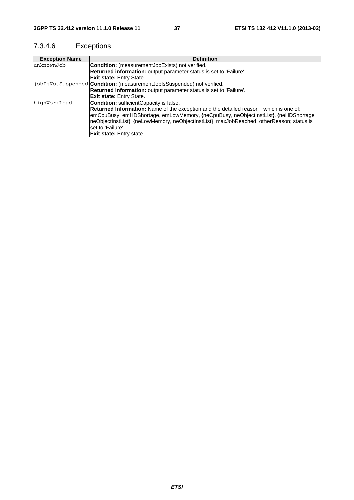### 7.3.4.6 Exceptions

| <b>Exception Name</b> | <b>Definition</b>                                                                         |
|-----------------------|-------------------------------------------------------------------------------------------|
| unknownJob            | <b>Condition:</b> (measurementJobExists) not verified.                                    |
|                       | Returned information: output parameter status is set to 'Failure'.                        |
|                       | <b>Exit state: Entry State.</b>                                                           |
|                       | jobIsNotSuspended <b>Condition:</b> (measurementJobIsSuspended) not verified.             |
|                       | Returned information: output parameter status is set to 'Failure'.                        |
|                       | <b>Exit state:</b> Entry State.                                                           |
| highWorkLoad          | <b>Condition:</b> sufficientCapacity is false.                                            |
|                       | Returned Information: Name of the exception and the detailed reason which is one of:      |
|                       | emCpuBusy; emHDShortage, emLowMemory, {neCpuBusy, neObjectInstList}, {neHDShortage        |
|                       | neObjectInstList}, {neLowMemory, neObjectInstList}, maxJobReached, otherReason; status is |
|                       | lset to 'Failure'.                                                                        |
|                       | <b>Exit state:</b> Entry state.                                                           |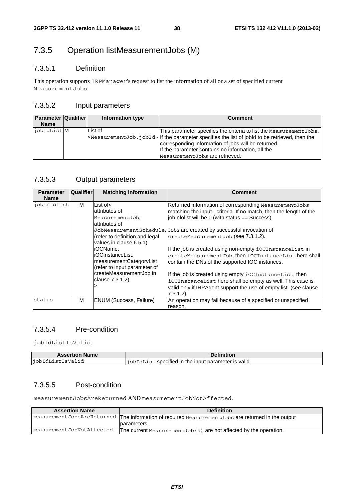### 7.3.5 Operation listMeasurementJobs (M)

### 7.3.5.1 Definition

This operation supports IRPManager's request to list the information of all or a set of specified current MeasurementJobs.

### 7.3.5.2 Input parameters

| <b>Parameter Qualifier</b><br><b>Name</b> | Information type | <b>Comment</b>                                                                                                                                                                                                                                                                                                             |
|-------------------------------------------|------------------|----------------------------------------------------------------------------------------------------------------------------------------------------------------------------------------------------------------------------------------------------------------------------------------------------------------------------|
| iobIdList M                               | List of          | This parameter specifies the criteria to list the Measurement Jobs.<br>$\leq$ MeasurementJob. jobId> If the parameter specifies the list of jobId to be retrieved, then the<br>corresponding information of jobs will be returned.<br>If the parameter contains no information, all the<br>Measurement Jobs are retrieved. |

### 7.3.5.3 Output parameters

| <b>Parameter</b><br><b>Name</b> | <b>Qualifier</b> | <b>Matching Information</b>                                                                                                                                                                                                                                              | <b>Comment</b>                                                                                                                                                                                                                                                                                                                                                                                                                                                                                                                                                                                                                                                               |
|---------------------------------|------------------|--------------------------------------------------------------------------------------------------------------------------------------------------------------------------------------------------------------------------------------------------------------------------|------------------------------------------------------------------------------------------------------------------------------------------------------------------------------------------------------------------------------------------------------------------------------------------------------------------------------------------------------------------------------------------------------------------------------------------------------------------------------------------------------------------------------------------------------------------------------------------------------------------------------------------------------------------------------|
| jobInfoList                     | м                | List of $\lt$<br>attributes of<br>MeasurementJob,<br>attributes of<br>(refer to definition and legal<br>values in clause 6.5.1)<br>iOCName.<br>iOCInstanceList.<br>measurementCategoryList<br>(refer to input parameter of<br>createMeasurementJob in<br>clause 7.3.1.2) | Returned information of corresponding MeasurementJobs<br>matching the input criteria. If no match, then the length of the<br>jobInfolist will be 0 (with status == Success).<br>JobMeasurement Schedule, Jobs are created by successful invocation of<br>createMeasurementJob (see 7.3.1.2).<br>If the job is created using non-empty iOCInstanceList in<br>createMeasurementJob, then iOCInstanceList here shall<br>contain the DNs of the supported IOC instances.<br>If the job is created using empty iOCInstanceList, then<br>iOCInstanceList here shall be empty as well. This case is<br>valid only if IRPAgent support the use of empty list. (see clause<br>7.3.1.2 |
| status                          | м                | <b>ENUM (Success, Failure)</b>                                                                                                                                                                                                                                           | An operation may fail because of a specified or unspecified<br>reason.                                                                                                                                                                                                                                                                                                                                                                                                                                                                                                                                                                                                       |

### 7.3.5.4 Pre-condition

jobIdListIsValid.

| <b>Assertion Name</b> | <b>Definition</b>                                            |
|-----------------------|--------------------------------------------------------------|
| iobIdListIsValid      | <b>liobIdList specified in the input parameter is valid.</b> |

### 7.3.5.5 Post-condition

measurementJobsAreReturned AND measurementJobNotAffected.

| <b>Assertion Name</b>     | <b>Definition</b>                                                                                                                                                                                                                                                   |
|---------------------------|---------------------------------------------------------------------------------------------------------------------------------------------------------------------------------------------------------------------------------------------------------------------|
|                           | measurementJobsAreReturned   The information of required MeasurementJobs are returned in the output<br>parameters.                                                                                                                                                  |
| measurementJobNotAffected | The current $Mean$ $M$ $\geq$ $\geq$ $\geq$ $\geq$ $\geq$ $\geq$ $\geq$ $\geq$ $\geq$ $\geq$ $\geq$ $\geq$ $\geq$ $\geq$ $\geq$ $\geq$ $\geq$ $\geq$ $\geq$ $\geq$ $\geq$ $\geq$ $\geq$ $\geq$ $\geq$ $\geq$ $\geq$ $\geq$ $\geq$ $\geq$ $\geq$ $\geq$ $\geq$ $\ge$ |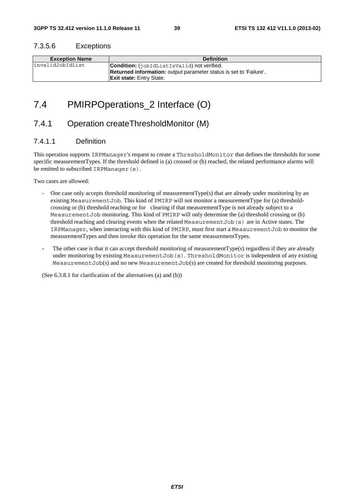#### 7.3.5.6 Exceptions

| <b>Exception Name</b> | <b>Definition</b>                                                         |  |
|-----------------------|---------------------------------------------------------------------------|--|
| linvalidJobIdList     | <b>Condition:</b> (iobidListIsValid) not verified.                        |  |
|                       | <b>Returned information:</b> output parameter status is set to 'Failure'. |  |
|                       | <b>Exit state: Entry State.</b>                                           |  |

### 7.4 PMIRPOperations\_2 Interface (O)

### 7.4.1 Operation createThresholdMonitor (M)

### 7.4.1.1 Definition

This operation supports IRPManager's request to create a ThresholdMonitor that defines the thresholds for some specific measurementTypes. If the threshold defined is (a) crossed or (b) reached, the related performance alarms will be emitted to subscribed IRPManager(s).

Two cases are allowed:

- One case only accepts threshold monitoring of measurementType(s) that are already under monitoring by an existing MeasurementJob. This kind of PMIRP will not monitor a measurementType for (a) thresholdcrossing or (b) threshold reaching or for clearing if that measurementType is not already subject to a MeasurementJob monitoring. This kind of PMIRP will only determine the (a) threshold crossing or (b) threshold reaching and clearing events when the related MeasurementJob(s) are in Active states. The IRPManager, when interacting with this kind of PMIRP, must first start a MeasurementJob to monitor the measurementTypes and then invoke this operation for the same measurementTypes.
- The other case is that it can accept threshold monitoring of measurement  $Type(s)$  regardless if they are already under monitoring by existing MeasurementJob(s). ThresholdMonitor is independent of any existing MeasurementJob(s) and no new MeasurementJob(s) are created for threshold monitoring purposes.

(See 6.3.8.1 for clarification of the alternatives (a) and (b))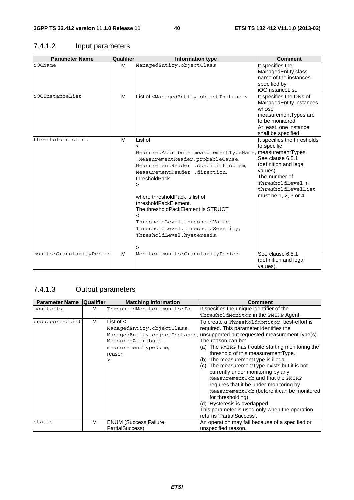### 7.4.1.2 Input parameters

| <b>Parameter Name</b>    | Qualifier | <b>Information type</b>                                                                                                                                                                                                                                                                                                                                                                                                                         | <b>Comment</b>                                                                                                                                                                           |
|--------------------------|-----------|-------------------------------------------------------------------------------------------------------------------------------------------------------------------------------------------------------------------------------------------------------------------------------------------------------------------------------------------------------------------------------------------------------------------------------------------------|------------------------------------------------------------------------------------------------------------------------------------------------------------------------------------------|
| iOCName                  | M         | ManagedEntity.objectClass                                                                                                                                                                                                                                                                                                                                                                                                                       | It specifies the<br>ManagedEntity class<br>name of the instances<br>specified by<br>iOCInstanceList.                                                                                     |
| iOCInstanceList          | M         | List of <managedentity.objectinstance></managedentity.objectinstance>                                                                                                                                                                                                                                                                                                                                                                           | It specifies the DNs of<br>ManagedEntity instances<br>whose<br>measurementTypes are<br>to be monitored.<br>At least, one instance<br>shall be specified.                                 |
| thresholdInfoList        | M         | List of<br>$\overline{a}$<br>MeasuredAttribute.measurementTypeName, measurementTypes.<br>MeasurementReader.probableCause,<br>MeasurementReader .specificProblem,<br>MeasurementReader .direction,<br>thresholdPack<br>><br>where thresholdPack is list of<br>thresholdPackElement.<br>The thresholdPackElement is STRUCT<br>$\overline{a}$<br>ThresholdLevel.thresholdValue,<br>ThresholdLevel.thresholdSeverity,<br>ThresholdLevel.hysteresis, | It specifies the thresholds<br>to specific<br>See clause 6.5.1<br>(definition and legal<br>values).<br>The number of<br>ThresholdLevel in<br>thresholdLevelList<br>must be 1, 2, 3 or 4. |
| monitorGranularityPeriod | M         | Monitor.monitorGranularityPeriod                                                                                                                                                                                                                                                                                                                                                                                                                | See clause 6.5.1<br>(definition and legal<br>values).                                                                                                                                    |

### 7.4.1.3 Output parameters

| <b>Parameter Name</b> | <b>Qualifier</b> | <b>Matching Information</b> | <b>Comment</b>                                                              |
|-----------------------|------------------|-----------------------------|-----------------------------------------------------------------------------|
| monitorId             | м                | ThresholdMonitor.monitorId. | It specifies the unique identifier of the                                   |
|                       |                  |                             | ThresholdMonitor in the PMIRP Agent.                                        |
| unsupportedList       | м                | List of $\lt$               | To create a ThresholdMonitor, best-effort is                                |
|                       |                  | ManagedEntity.objectClass,  | required. This parameter identifies the                                     |
|                       |                  |                             | ManagedEntity.objectInstance, unsupported but requested measurementType(s). |
|                       |                  | MeasuredAttribute.          | The reason can be:                                                          |
|                       |                  | measurementTypeName,        | (a) The PMIRP has trouble starting monitoring the                           |
|                       |                  | reason                      | threshold of this measurement Type.                                         |
|                       |                  |                             | The measurementType is illegal.<br>(b)                                      |
|                       |                  |                             | (c) The measurementType exists but it is not                                |
|                       |                  |                             | currently under monitoring by any                                           |
|                       |                  |                             | Measurement.Job and that the PMIRP                                          |
|                       |                  |                             | requires that it be under monitoring by                                     |
|                       |                  |                             | MeasurementJob (before it can be monitored                                  |
|                       |                  |                             | for thresholding).                                                          |
|                       |                  |                             | (d) Hysteresis is overlapped.                                               |
|                       |                  |                             | This parameter is used only when the operation                              |
|                       |                  |                             | returns 'PartialSuccess'.                                                   |
| status                | М                | ENUM (Success, Failure,     | An operation may fail because of a specified or                             |
|                       |                  | PartialSuccess)             | unspecified reason.                                                         |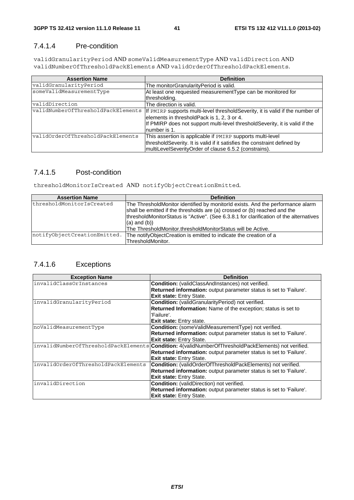### 7.4.1.4 Pre-condition

validGranularityPeriod AND someValidMeasurementType AND validDirection AND validNumberOfThresholdPackElements AND validOrderOfThresholdPackElements.

| <b>Assertion Name</b>              | <b>Definition</b>                                                              |
|------------------------------------|--------------------------------------------------------------------------------|
| validGranularityPeriod             | The monitorGranularityPeriod is valid.                                         |
| someValidMeasurementType           | At least one requested measurement Type can be monitored for                   |
|                                    | thresholding.                                                                  |
| validDirection                     | The direction is valid.                                                        |
| validNumberOfThresholdPackElements | If PMIRP supports multi-level threshold Severity, it is valid if the number of |
|                                    | elements in thresholdPack is 1, 2, 3 or 4.                                     |
|                                    | If PMIRP does not support multi-level threshold Severity, it is valid if the   |
|                                    | number is 1.                                                                   |
| validOrderOfThresholdPackElements  | This assertion is applicable if PMIRP supports multi-level                     |
|                                    | thresholdSeverity. It is valid if it satisfies the constraint defined by       |
|                                    | multiLevelSeverityOrder of clause 6.5.2 (constrains).                          |

### 7.4.1.5 Post-condition

thresholdMonitorIsCreated AND notifyObjectCreationEmitted.

| <b>Assertion Name</b>        | <b>Definition</b>                                                                                                                                                                                                                                                          |
|------------------------------|----------------------------------------------------------------------------------------------------------------------------------------------------------------------------------------------------------------------------------------------------------------------------|
| thresholdMonitorIsCreated    | The ThresholdMonitor identified by monitorId exists. And the performance alarm<br>shall be emitted if the thresholds are (a) crossed or (b) reached and the<br>thresholdMonitorStatus is "Active". (See 6.3.8.1 for clarification of the alternatives<br>$(a)$ and $(b)$ ) |
|                              | The ThresholdMonitor.thresholdMonitorStatus will be Active.                                                                                                                                                                                                                |
| notifyObjectCreationEmitted. | The notifyObjectCreation is emitted to indicate the creation of a                                                                                                                                                                                                          |
|                              | ThresholdMonitor.                                                                                                                                                                                                                                                          |

### 7.4.1.6 Exceptions

| <b>Exception Name</b>                | <b>Definition</b>                                                     |
|--------------------------------------|-----------------------------------------------------------------------|
| invalidClassOrInstances              | <b>Condition:</b> (validClassAndInstances) not verified.              |
|                                      | Returned information: output parameter status is set to 'Failure'.    |
|                                      | Exit state: Entry State.                                              |
| invalidGranularityPeriod             | Condition: (validGranularityPeriod) not verified.                     |
|                                      | Returned Information: Name of the exception; status is set to         |
|                                      | 'Failure'.                                                            |
|                                      | <b>Exit state:</b> Entry state.                                       |
| noValidMeasurementType               | Condition: (someValidMeasurementType) not verified.                   |
|                                      | Returned information: output parameter status is set to 'Failure'.    |
|                                      | <b>Exit state: Entry State.</b>                                       |
| invalidNumberOfThresholdPackElements | <b>Condition:</b> 4(validNumberOfThresholdPackElements) not verified. |
|                                      | Returned information: output parameter status is set to 'Failure'.    |
|                                      | Exit state: Entry State.                                              |
| invalidOrderOfThresholdPackElements  | Condition: (validOrderOfThresholdPackElements) not verified.          |
|                                      | Returned information: output parameter status is set to 'Failure'.    |
|                                      | Exit state: Entry State.                                              |
| invalidDirection                     | <b>Condition:</b> (validDirection) not verified.                      |
|                                      | Returned information: output parameter status is set to 'Failure'.    |
|                                      | <b>Exit state: Entry State.</b>                                       |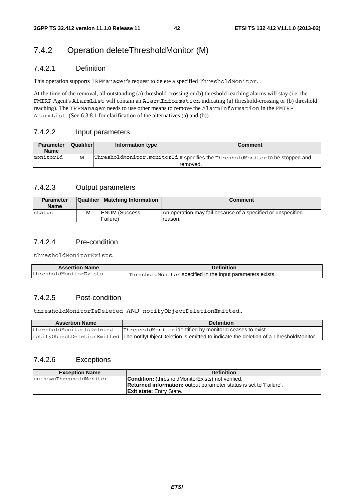### 7.4.2 Operation deleteThresholdMonitor (M)

### 7.4.2.1 Definition

This operation supports IRPManager's request to delete a specified ThresholdMonitor.

At the time of the removal, all outstanding (a) threshold-crossing or (b) threshold reaching alarms will stay (i.e. the FMIRP Agent's AlarmList will contain an AlarmInformation indicating (a) threshold-crossing or (b) threshold reaching). The IRPManager needs to use other means to remove the AlarmInformation in the FMIRP AlarmList. (See 6.3.8.1 for clarification of the alternatives (a) and (b))

### 7.4.2.2 Input parameters

| <b>Parameter</b><br><b>Name</b> | <b>Qualifier</b> | Information type | Comment                                                                                    |
|---------------------------------|------------------|------------------|--------------------------------------------------------------------------------------------|
| monitorId                       | M                |                  | ThresholdMonitor.monitorId It specifies the ThresholdMonitor to be stopped and<br>removed. |

#### 7.4.2.3 Output parameters

| <b>Parameter</b><br><b>Name</b> |   | Qualifier Matching Information             | <b>Comment</b>                                                         |
|---------------------------------|---|--------------------------------------------|------------------------------------------------------------------------|
| Istatus                         | M | <b>IENUM (Success,</b><br><b>Failure</b> ) | An operation may fail because of a specified or unspecified<br>reason. |

### 7.4.2.4 Pre-condition

thresholdMonitorExists.

| <b>Assertion Name</b>  | <b>Definition</b>                                          |
|------------------------|------------------------------------------------------------|
| thresholdMonitorExists | ThresholdMonitor specified in the input parameters exists. |

### 7.4.2.5 Post-condition

thresholdMonitorIsDeleted AND notifyObjectDeletionEmitted..

| <b>Assertion Name</b>     | <b>Definition</b>                                                                                                |
|---------------------------|------------------------------------------------------------------------------------------------------------------|
| thresholdMonitorIsDeleted | ThresholdMonitor identified by monitorid ceases to exist.                                                        |
|                           | notifyObjectDeletionEmitted  The notifyObjectDeletion is emitted to indicate the deletion of a ThresholdMonitor. |

### 7.4.2.6 Exceptions

| <b>Exception Name</b>   | <b>Definition</b>                                                         |  |
|-------------------------|---------------------------------------------------------------------------|--|
| unknownThresholdMonitor | <b>Condition:</b> (thresholdMonitorExists) not verified.                  |  |
|                         | <b>Returned information:</b> output parameter status is set to 'Failure'. |  |
|                         | <b>Exit state:</b> Entry State.                                           |  |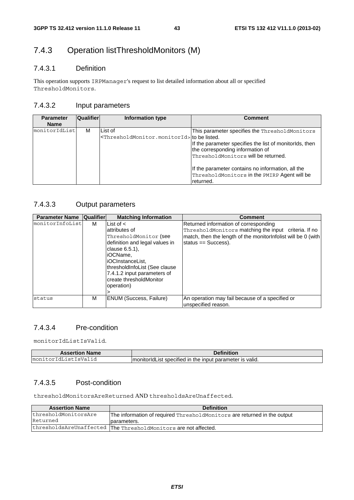### 7.4.3 Operation listThresholdMonitors (M)

### 7.4.3.1 Definition

This operation supports IRPManager's request to list detailed information about all or specified ThresholdMonitors.

### 7.4.3.2 Input parameters

| <b>Parameter</b><br><b>Name</b> | Qualifier | Information type                                                                   | <b>Comment</b>                                                                                                                                                                                                                            |
|---------------------------------|-----------|------------------------------------------------------------------------------------|-------------------------------------------------------------------------------------------------------------------------------------------------------------------------------------------------------------------------------------------|
| monitorIdList                   | м         | List of<br><thresholdmonitor.monitorid> to be listed.</thresholdmonitor.monitorid> | This parameter specifies the ThresholdMonitors<br>If the parameter specifies the list of monitorids, then<br>the corresponding information of<br>ThresholdMonitors will be returned.<br>If the parameter contains no information, all the |
|                                 |           |                                                                                    | ThresholdMonitors in the PMIRP Agent will be<br>returned.                                                                                                                                                                                 |

### 7.4.3.3 Output parameters

| <b>Parameter Name  Qualifier </b> |   | <b>Matching Information</b>                                                                                                                                                                                                                            | Comment                                                                                                                                                                                |
|-----------------------------------|---|--------------------------------------------------------------------------------------------------------------------------------------------------------------------------------------------------------------------------------------------------------|----------------------------------------------------------------------------------------------------------------------------------------------------------------------------------------|
| monitorInfoList                   | м | List of $\lt$<br>attributes of<br>ThresholdMonitor (see<br>definition and legal values in<br>clause 6.5.1),<br>liOCName.<br>liOCInstanceList.<br>thresholdInfoList (See clause<br>7.4.1.2 input parameters of<br>create thresholdMonitor<br>operation) | Returned information of corresponding<br>ThresholdMonitors matching the input criteria. If no<br>match, then the length of the monitor infolist will be 0 (with<br>status == Success). |
| status                            | М | <b>ENUM (Success, Failure)</b>                                                                                                                                                                                                                         | An operation may fail because of a specified or<br>unspecified reason.                                                                                                                 |

### 7.4.3.4 Pre-condition

monitorIdListIsValid.

| <b>Assertion Name</b>            | .<br>annition.                                                                                 |
|----------------------------------|------------------------------------------------------------------------------------------------|
| sValid"<br>moni<br>∣st<br>$\sim$ | ີ <sup>+</sup> ≏r ∣S vພ<br>∶ specified in the input i<br>valid.<br>ImonitorIdList<br>parameter |

### 7.4.3.5 Post-condition

thresholdMonitorsAreReturned AND thresholdsAreUnaffected.

| <b>Assertion Name</b> | <b>Definition</b>                                                        |
|-----------------------|--------------------------------------------------------------------------|
| thresholdMonitorsAre  | The information of required ThresholdMonitors are returned in the output |
| Returned              | Iparameters.                                                             |
|                       | thresholdsAreUnaffected The ThresholdMonitors are not affected.          |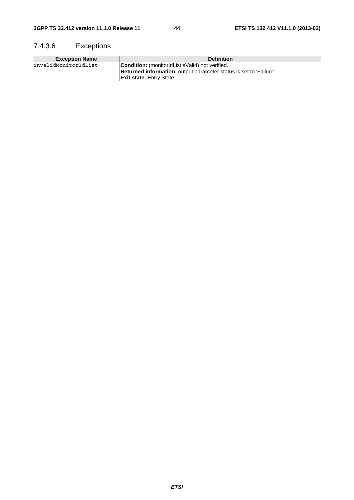### 7.4.3.6 Exceptions

| <b>Exception Name</b> | <b>Definition</b>                                                         |
|-----------------------|---------------------------------------------------------------------------|
| linvalidMonitorIdList | <b>Condition:</b> (monitorIdListIsValid) not verified.                    |
|                       | <b>Returned information:</b> output parameter status is set to 'Failure'. |
|                       | <b>Exit state:</b> Entry State.                                           |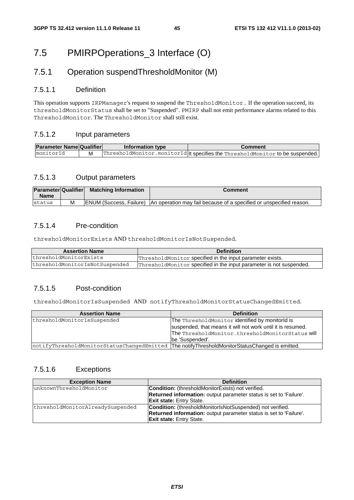### 7.5 PMIRPOperations\_3 Interface (O)

### 7.5.1 Operation suspendThresholdMonitor (M)

### 7.5.1.1 Definition

This operation supports IRPManager's request to suspend the ThresholdMonitor. If the operation succeed, its thresholdMonitorStatus shall be set to "Suspended". PMIRP shall not emit performance alarms related to this ThresholdMonitor. The ThresholdMonitor shall still exist.

### 7.5.1.2 Input parameters

| <b>Parameter Name Qualifier</b> |   | Information type | Comment                                                                       |
|---------------------------------|---|------------------|-------------------------------------------------------------------------------|
| ImonitorId                      | м |                  | ThresholdMonitor.monitorId  t specifies the ThresholdMonitor to be suspended. |

#### 7.5.1.3 Output parameters

| <b>Parameter Qualifier</b><br><b>Name</b> |   | <b>Matching Information</b> | Comment                                                                                              |
|-------------------------------------------|---|-----------------------------|------------------------------------------------------------------------------------------------------|
| status                                    | М |                             | <b>IENUM (Success, Failure)</b> IAn operation may fail because of a specified or unspecified reason, |

### 7.5.1.4 Pre-condition

thresholdMonitorExists AND thresholdMonitorIsNotSuspended.

| <b>Assertion Name</b>          | <b>Definition</b>                                                   |
|--------------------------------|---------------------------------------------------------------------|
| thresholdMonitorExists         | ThresholdMonitor specified in the input parameter exists.           |
| thresholdMonitorIsNotSuspended | ThresholdMonitor specified in the input parameter is not suspended. |

### 7.5.1.5 Post-condition

thresholdMonitorIsSuspended AND notifyThresholdMonitorStatusChangedEmitted.

| <b>Assertion Name</b>                                                                           | <b>Definition</b>                                           |
|-------------------------------------------------------------------------------------------------|-------------------------------------------------------------|
| thresholdMonitorIsSuspended                                                                     | The ThresholdMonitor identified by monitorId is             |
|                                                                                                 | suspended, that means it will not work until it is resumed. |
|                                                                                                 | The ThresholdMonitor.thresholdMonitorStatus will            |
|                                                                                                 | lbe 'Suspended'.                                            |
| notifyThresholdMonitorStatusChangedEmitted  The notifyThresholdMonitorStatusChanged is emitted. |                                                             |

### 7.5.1.6 Exceptions

| <b>Exception Name</b>            | <b>Definition</b>                                                         |
|----------------------------------|---------------------------------------------------------------------------|
| lunknownThresholdMonitor         | <b>Condition:</b> (thresholdMonitorExists) not verified.                  |
|                                  | Returned information: output parameter status is set to 'Failure'.        |
|                                  | <b>Exit state: Entry State.</b>                                           |
| thresholdMonitorAlreadySuspended | <b>Condition:</b> (thresholdMonitorIsNotSuspended) not verified.          |
|                                  | <b>Returned information:</b> output parameter status is set to 'Failure'. |
|                                  | <b>Exit state: Entry State.</b>                                           |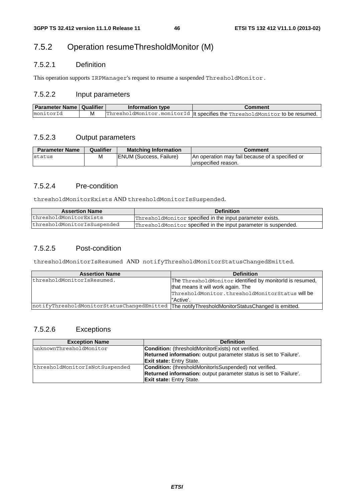### 7.5.2 Operation resumeThresholdMonitor (M)

### 7.5.2.1 Definition

This operation supports IRPManager's request to resume a suspended ThresholdMonitor.

### 7.5.2.2 Input parameters

| Parameter Name   Qualifier | Information type | Comment                                                                      |
|----------------------------|------------------|------------------------------------------------------------------------------|
| monitorId                  |                  | ThresholdMonitor.monitorId   t specifies the ThresholdMonitor to be resumed. |

### 7.5.2.3 Output parameters

| <b>Parameter Name</b> | <b>Qualifier</b> | <b>Matching Information</b>    | Comment                                         |
|-----------------------|------------------|--------------------------------|-------------------------------------------------|
| status                | М                | <b>ENUM (Success, Failure)</b> | An operation may fail because of a specified or |
|                       |                  |                                | lunspecified reason.                            |

### 7.5.2.4 Pre-condition

thresholdMonitorExists AND thresholdMonitorIsSuspended.

| <b>Assertion Name</b>       | <b>Definition</b>                                               |
|-----------------------------|-----------------------------------------------------------------|
| thresholdMonitorExists      | ThresholdMonitor specified in the input parameter exists.       |
| thresholdMonitorIsSuspended | ThresholdMonitor specified in the input parameter is suspended. |

### 7.5.2.5 Post-condition

thresholdMonitorIsResumed AND notifyThresholdMonitorStatusChangedEmitted.

| <b>Assertion Name</b>                                                                           | <b>Definition</b>                                        |
|-------------------------------------------------------------------------------------------------|----------------------------------------------------------|
| thresholdMonitorIsResumed.                                                                      | The ThresholdMonitor identified by monitorId is resumed, |
|                                                                                                 | that means it will work again. The                       |
|                                                                                                 | ThresholdMonitor.thresholdMonitorStatus will be          |
|                                                                                                 | "Active'.                                                |
| notifyThresholdMonitorStatusChangedEmitted  The notifyThresholdMonitorStatusChanged is emitted. |                                                          |

### 7.5.2.6 Exceptions

| <b>Exception Name</b>          | <b>Definition</b>                                                         |  |
|--------------------------------|---------------------------------------------------------------------------|--|
| unknownThresholdMonitor        | <b>Condition:</b> (thresholdMonitorExists) not verified.                  |  |
|                                | <b>Returned information:</b> output parameter status is set to 'Failure'. |  |
|                                | <b>Exit state: Entry State.</b>                                           |  |
| thresholdMonitorIsNotSuspended | <b>Condition:</b> (thresholdMonitorIsSuspended) not verified.             |  |
|                                | <b>Returned information:</b> output parameter status is set to 'Failure'. |  |
|                                | <b>Exit state: Entry State.</b>                                           |  |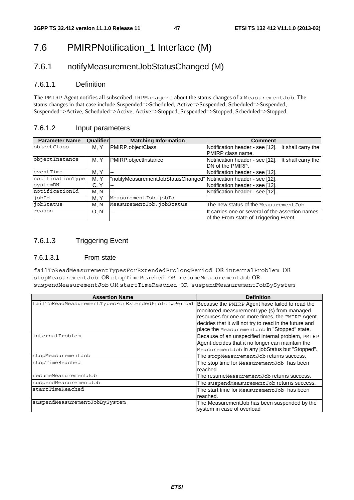### 7.6 PMIRPNotification 1 Interface (M)

### 7.6.1 notifyMeasurementJobStatusChanged (M)

### 7.6.1.1 Definition

The PMIRP Agent notifies all subscribed IRPManagers about the status changes of a MeasurementJob. The status changes in that case include Suspended=>Scheduled, Active=>Suspended, Scheduled=>Suspended, Suspended=>Active, Scheduled=>Active, Active=>Stopped, Suspended=>Stopped, Scheduled=>Stopped.

### 7.6.1.2 Input parameters

| <b>Parameter Name</b>     | <b>Qualifier</b> | <b>Matching Information</b>                                         | <b>Comment</b>                                     |  |
|---------------------------|------------------|---------------------------------------------------------------------|----------------------------------------------------|--|
| objectClass               | M. Y             | PMIRP.objectClass                                                   | Notification header - see [12]. It shall carry the |  |
|                           |                  |                                                                     | PMIRP class name.                                  |  |
| objectInstance            | M. Y             | PMIRP.objectInstance                                                | Notification header - see [12]. It shall carry the |  |
|                           |                  |                                                                     | DN of the PMIRP.                                   |  |
| eventTime                 | M.Y              | $\sim$ $\sim$                                                       | Notification header - see [12].                    |  |
| notificationType          | M, Y             | "notifyMeasurementJobStatusChanged" Notification header - see [12]. |                                                    |  |
| systemDN                  | C.Y              | $\sim$                                                              | Notification header - see [12].                    |  |
| notificationId            | M. N             | $\sim$ $\sim$                                                       | Notification header - see [12].                    |  |
| $\overline{\text{jobId}}$ | M.Y              | MeasurementJob.jobId                                                |                                                    |  |
| jobStatus                 | M. N             | MeasurementJob.jobStatus                                            | The new status of the MeasurementJob.              |  |
| reason                    | 0. N             | $-$                                                                 | It carries one or several of the assertion names   |  |
|                           |                  |                                                                     | of the From-state of Triggering Event.             |  |

### 7.6.1.3 Triggering Event

#### 7.6.1.3.1 From-state

failToReadMeasurementTypesForExtendedProlongPeriod OR internalProblem OR stopMeasurementJob OR stopTimeReached OR resumeMeasurementJob OR suspendMeasurementJob OR startTimeReached OR suspendMeasurementJobBySystem

| <b>Assertion Name</b>                              | <b>Definition</b>                                                                                                                                                                                                                                            |
|----------------------------------------------------|--------------------------------------------------------------------------------------------------------------------------------------------------------------------------------------------------------------------------------------------------------------|
| failToReadMeasurementTypesForExtendedProlongPeriod | Because the PMIRP Agent have failed to read the<br>monitored measurementType (s) from managed<br>resources for one or more times, the PMIRP Agent<br>decides that it will not try to read in the future and<br>place the Measurement Job in "Stopped" state. |
| internalProblem                                    | Because of an unspecified internal problem, PMIRP<br>Agent decides that it no longer can maintain the<br>MeasurementJob in any jobStatus but "Stopped".                                                                                                      |
| stopMeasurementJob                                 | The stopMeasurementJob returns success.                                                                                                                                                                                                                      |
| stopTimeReached                                    | The stop time for Measurement Job has been<br>reached.                                                                                                                                                                                                       |
| resumeMeasurementJob                               | The resumeMeasurementJob returns success.                                                                                                                                                                                                                    |
| suspendMeasurementJob                              | The suspend Measurement Job returns success.                                                                                                                                                                                                                 |
| startTimeReached                                   | The start time for MeasurementJob has been<br>reached.                                                                                                                                                                                                       |
| suspendMeasurementJobBySystem                      | The MeasurementJob has been suspended by the<br>system in case of overload                                                                                                                                                                                   |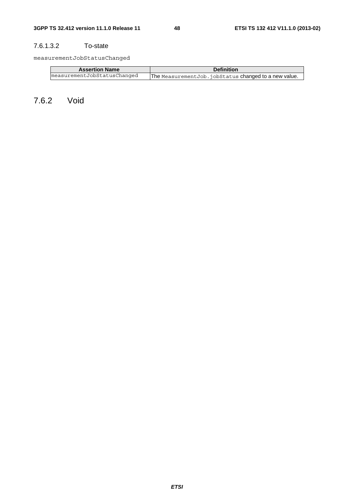### 7.6.1.3.2 To-state

measurementJobStatusChanged

| <b>Assertion Name</b>       | <b>Definition</b>                                    |  |
|-----------------------------|------------------------------------------------------|--|
| measurementJobStatusChanged | The MeasurementJob.jobStatus changed to a new value. |  |

7.6.2 Void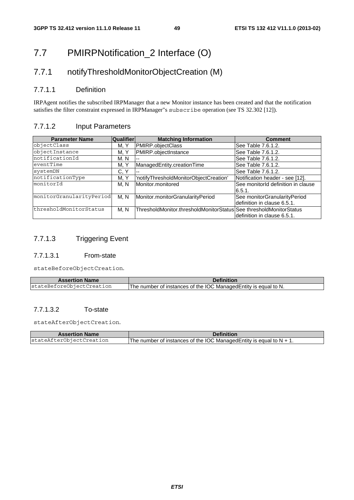### 7.7 PMIRPNotification\_2 Interface (O)

### 7.7.1 notifyThresholdMonitorObjectCreation (M)

### 7.7.1.1 Definition

IRPAgent notifies the subscribed IRPManager that a new Monitor instance has been created and that the notification satisfies the filter constraint expressed in IRPManager"s subscribe operation (see TS 32.302 [12]).

### 7.7.1.2 Input Parameters

| <b>Parameter Name</b>    | <b>Qualifier</b> | <b>Matching Information</b>                                        | <b>Comment</b>                                              |
|--------------------------|------------------|--------------------------------------------------------------------|-------------------------------------------------------------|
| objectClass              | M, Y             | PMIRP.objectClass                                                  | See Table 7.6.1.2.                                          |
| objectInstance           | M. Y             | PMIRP.objectInstance                                               | See Table 7.6.1.2.                                          |
| notificationId           | M. N             |                                                                    | See Table 7.6.1.2.                                          |
| eventTime                | M. Y             | ManagedEntity.creationTime                                         | See Table 7.6.1.2.                                          |
| systemDN                 | C, Y             |                                                                    | See Table 7.6.1.2.                                          |
| notificationType         | M. Y             | 'notifyThresholdMonitorObjectCreation'                             | Notification header - see [12].                             |
| monitorId                | M. N             | Monitor.monitored                                                  | See monitorId definition in clause<br>6.5.1.                |
| monitorGranularityPeriod | M, N             | Monitor.monitorGranularityPeriod                                   | See monitorGranularityPeriod<br>definition in clause 6.5.1. |
| thresholdMonitorStatus   | M, N             | ThresholdMonitor.thresholdMonitorStatus See thresholdMonitorStatus | definition in clause 6.5.1.                                 |

### 7.7.1.3 Triggering Event

#### 7.7.1.3.1 From-state

stateBeforeObjectCreation.

| <b>Assertion Name</b>     | <b>Definition</b>                                                |
|---------------------------|------------------------------------------------------------------|
| stateBeforeObjectCreation | The number of instances of the IOC Managed Entity is equal to N. |

### 7.7.1.3.2 To-state

stateAfterObjectCreation.

| <b>Assertion Name</b>    | <b>Definition</b>                                                       |  |
|--------------------------|-------------------------------------------------------------------------|--|
| stateAfterObiectCreation | The number of instances of the IOC Managed Entity is equal to $N + 1$ . |  |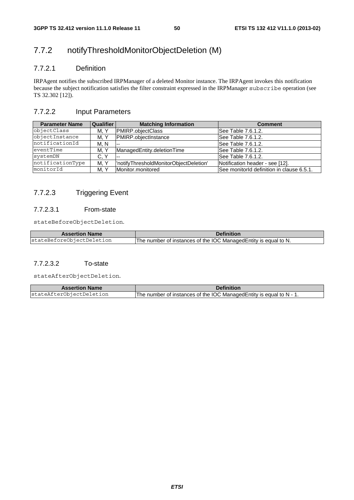### 7.7.2 notifyThresholdMonitorObjectDeletion (M)

### 7.7.2.1 Definition

IRPAgent notifies the subscribed IRPManager of a deleted Monitor instance. The IRPAgent invokes this notification because the subject notification satisfies the filter constraint expressed in the IRPManager subscribe operation (see TS 32.302 [12]).

### 7.7.2.2 Input Parameters

| <b>Parameter Name</b> | <b>Qualifier</b> | <b>Matching Information</b>             | <b>Comment</b>                            |
|-----------------------|------------------|-----------------------------------------|-------------------------------------------|
| objectClass           | M, Y             | <b>PMIRP.objectClass</b>                | See Table 7.6.1.2.                        |
| objectInstance        | M. Y             | <b>PMIRP.obiectInstance</b>             | See Table 7.6.1.2.                        |
| notificationId        | M. N             | <b></b>                                 | See Table 7.6.1.2.                        |
| eventTime             | M, Y             | ManagedEntity.deletionTime              | See Table 7.6.1.2.                        |
| systemDN              | C, Y             | $- -$                                   | See Table 7.6.1.2.                        |
| notificationType      | M. Y             | l'notifyThresholdMonitorObjectDeletion' | Notification header - see [12].           |
| monitorId             | M. Y             | Monitor.monitored                       | See monitorId definition in clause 6.5.1. |

### 7.7.2.3 Triggering Event

#### 7.7.2.3.1 From-state

stateBeforeObjectDeletion.

| <b>Assertion Name</b>     | <b>Definition</b>                                               |
|---------------------------|-----------------------------------------------------------------|
| stateBeforeObjectDeletion | The number of instances of the IOC ManagedEntity is equal to N. |

### 7.7.2.3.2 To-state

stateAfterObjectDeletion.

| <b>Assertion Name</b>    | Definition                                                          |
|--------------------------|---------------------------------------------------------------------|
| stateAfterObjectDeletion | The number of instances of the IOC Managed Entity is equal to N - 1 |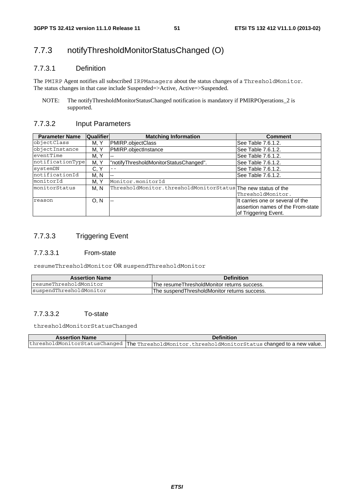### 7.7.3 notifyThresholdMonitorStatusChanged (O)

### 7.7.3.1 Definition

The PMIRP Agent notifies all subscribed IRPManagers about the status changes of a ThresholdMonitor. The status changes in that case include Suspended=>Active, Active=>Suspended.

NOTE: The notifyThresholdMonitorStatusChanged notification is mandatory if PMIRPOperations\_2 is supported.

#### 7.7.3.2 Input Parameters

| <b>Parameter Name</b> | Qualifier | <b>Matching Information</b>                                   | <b>Comment</b>                                                                                |
|-----------------------|-----------|---------------------------------------------------------------|-----------------------------------------------------------------------------------------------|
| objectClass           | M. Y      | PMIRP.objectClass                                             | See Table 7.6.1.2.                                                                            |
| objectInstance        | M. Y      | PMIRP.objectInstance                                          | See Table 7.6.1.2.                                                                            |
| eventTime             | M, Y      | --                                                            | See Table 7.6.1.2.                                                                            |
| notificationType      | M.Y       | "notifyThresholdMonitorStatusChanged".                        | See Table 7.6.1.2.                                                                            |
| systemDN              | C, Y      |                                                               | See Table 7.6.1.2.                                                                            |
| notificationId        | M. N      | $\sim$ $\sim$                                                 | See Table 7.6.1.2.                                                                            |
| monitorId             | M. Y      | Monitor.monitorId                                             |                                                                                               |
| monitorStatus         | M. N      | ThresholdMonitor.thresholdMonitorStatus The new status of the | ThresholdMonitor.                                                                             |
| reason                | O. N      | $\overline{\phantom{a}}$                                      | It carries one or several of the<br>assertion names of the From-state<br>of Triggering Event. |

### 7.7.3.3 Triggering Event

#### 7.7.3.3.1 From-state

resumeThresholdMonitor OR suspendThresholdMonitor

| <b>Assertion Name</b>   | <b>Definition</b>                                    |
|-------------------------|------------------------------------------------------|
| resumeThresholdMonitor  | IThe resumeThresholdMonitor returns success.         |
| suspendThresholdMonitor | <b>IThe suspendThresholdMonitor returns success.</b> |

### 7.7.3.3.2 To-state

thresholdMonitorStatusChanged

| <b>Assertion Name</b> | <b>Definition</b>                                                                                   |
|-----------------------|-----------------------------------------------------------------------------------------------------|
|                       | thresholdMonitorStatusChanged   The ThresholdMonitor.thresholdMonitorStatus changed to a new value. |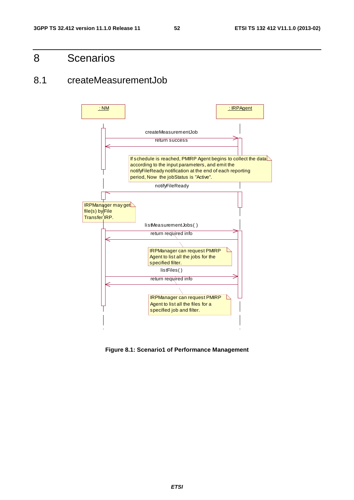### 8 Scenarios

### 8.1 createMeasurementJob



**Figure 8.1: Scenario1 of Performance Management**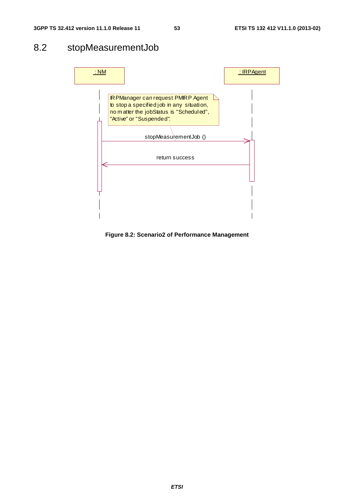### 8.2 stopMeasurementJob



**Figure 8.2: Scenario2 of Performance Management**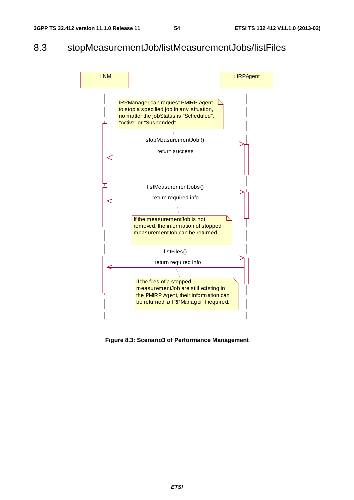### 8.3 stopMeasurementJob/listMeasurementJobs/listFiles



**Figure 8.3: Scenario3 of Performance Management**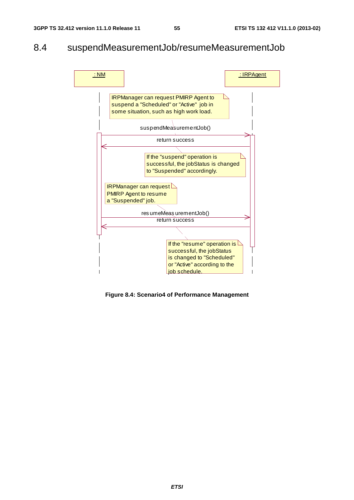### 8.4 suspendMeasurementJob/resumeMeasurementJob



**Figure 8.4: Scenario4 of Performance Management**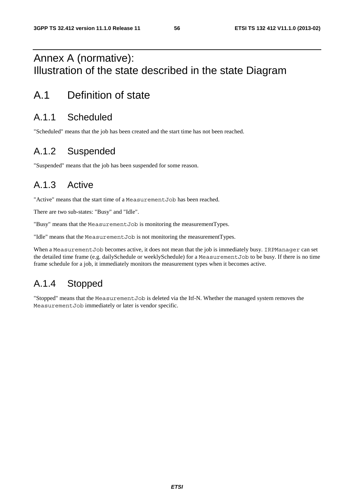### Annex A (normative): Illustration of the state described in the state Diagram

### A.1 Definition of state

### A.1.1 Scheduled

"Scheduled" means that the job has been created and the start time has not been reached.

### A.1.2 Suspended

"Suspended" means that the job has been suspended for some reason.

### A.1.3 Active

"Active" means that the start time of a MeasurementJob has been reached.

There are two sub-states: "Busy" and "Idle".

"Busy" means that the MeasurementJob is monitoring the measurementTypes.

"Idle" means that the MeasurementJob is not monitoring the measurementTypes.

When a MeasurementJob becomes active, it does not mean that the job is immediately busy. IRPManager can set the detailed time frame (e.g. dailySchedule or weeklySchedule) for a MeasurementJob to be busy. If there is no time frame schedule for a job, it immediately monitors the measurement types when it becomes active.

### A.1.4 Stopped

"Stopped" means that the MeasurementJob is deleted via the Itf-N. Whether the managed system removes the MeasurementJob immediately or later is vendor specific.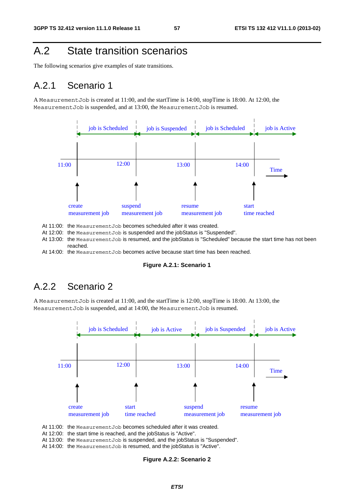### A.2 State transition scenarios

The following scenarios give examples of state transitions.

### A.2.1 Scenario 1

A MeasurementJob is created at 11:00, and the startTime is 14:00, stopTime is 18:00. At 12:00, the MeasurementJob is suspended, and at 13:00, the MeasurementJob is resumed.



At 11:00: the MeasurementJob becomes scheduled after it was created.

- At 12:00: the MeasurementJob is suspended and the jobStatus is "Suspended".
- At 13:00: the MeasurementJob is resumed, and the jobStatus is "Scheduled" because the start time has not been reached.
- At 14:00: the Measurement Job becomes active because start time has been reached.

#### **Figure A.2.1: Scenario 1**

### A.2.2 Scenario 2

A MeasurementJob is created at 11:00, and the startTime is 12:00, stopTime is 18:00. At 13:00, the MeasurementJob is suspended, and at 14:00, the MeasurementJob is resumed.



At 11:00: the MeasurementJob becomes scheduled after it was created.

At 12:00: the start time is reached, and the jobStatus is "Active".

At 13:00: the MeasurementJob is suspended, and the jobStatus is "Suspended".

At 14:00: the Measurement Job is resumed, and the jobStatus is "Active".

#### **Figure A.2.2: Scenario 2**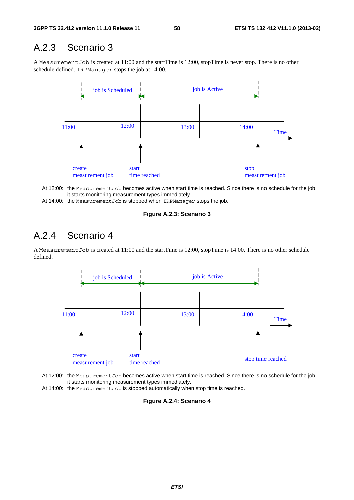### A.2.3 Scenario 3

A MeasurementJob is created at 11:00 and the startTime is 12:00, stopTime is never stop. There is no other schedule defined. IRPManager stops the job at 14:00.



At 12:00: the MeasurementJob becomes active when start time is reached. Since there is no schedule for the job, it starts monitoring measurement types immediately.

At 14:00: the MeasurementJob is stopped when IRPManager stops the job.

#### **Figure A.2.3: Scenario 3**

### A.2.4 Scenario 4

A MeasurementJob is created at 11:00 and the startTime is 12:00, stopTime is 14:00. There is no other schedule defined.



- At 12:00: the MeasurementJob becomes active when start time is reached. Since there is no schedule for the job, it starts monitoring measurement types immediately.
- At 14:00: the Measurement Job is stopped automatically when stop time is reached.

#### **Figure A.2.4: Scenario 4**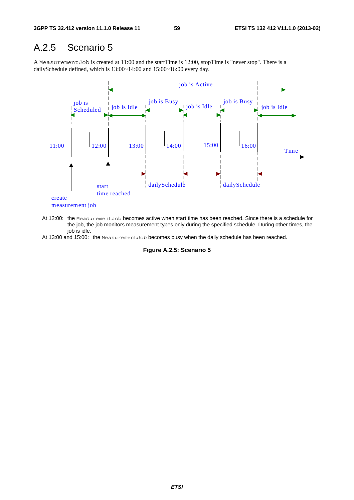### A.2.5 Scenario 5

A MeasurementJob is created at 11:00 and the startTime is 12:00, stopTime is "never stop". There is a dailySchedule defined, which is 13:00~14:00 and 15:00~16:00 every day.



At 12:00: the MeasurementJob becomes active when start time has been reached. Since there is a schedule for the job, the job monitors measurement types only during the specified schedule. During other times, the job is idle.

At 13:00 and 15:00: the MeasurementJob becomes busy when the daily schedule has been reached.

**Figure A.2.5: Scenario 5**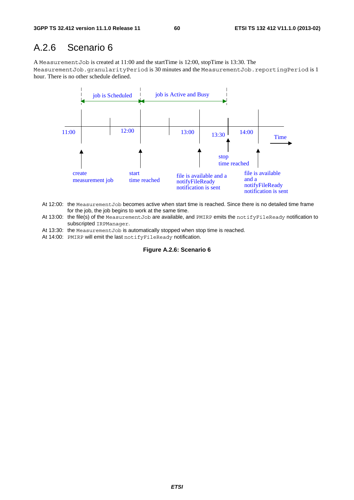### A.2.6 Scenario 6

A MeasurementJob is created at 11:00 and the startTime is 12:00, stopTime is 13:30. The MeasurementJob.granularityPeriod is 30 minutes and the MeasurementJob.reportingPeriod is 1 hour. There is no other schedule defined.



- At 12:00: the MeasurementJob becomes active when start time is reached. Since there is no detailed time frame for the job, the job begins to work at the same time.
- At 13:00: the file(s) of the MeasurementJob are available, and PMIRP emits the notifyFileReady notification to subscripted IRPManager.
- At 13:30: the MeasurementJob is automatically stopped when stop time is reached.
- At 14:00: PMIRP will emit the last notifyFileReady notification.

#### **Figure A.2.6: Scenario 6**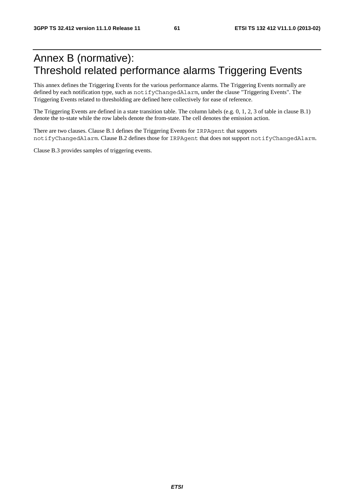### Annex B (normative): Threshold related performance alarms Triggering Events

This annex defines the Triggering Events for the various performance alarms. The Triggering Events normally are defined by each notification type, such as notifyChangedAlarm, under the clause "Triggering Events". The Triggering Events related to thresholding are defined here collectively for ease of reference.

The Triggering Events are defined in a state transition table. The column labels (e.g. 0, 1, 2, 3 of table in clause B.1) denote the to-state while the row labels denote the from-state. The cell denotes the emission action.

There are two clauses. Clause B.1 defines the Triggering Events for IRPAgent that supports notifyChangedAlarm. Clause B.2 defines those for IRPAgent that does not support notifyChangedAlarm.

Clause B.3 provides samples of triggering events.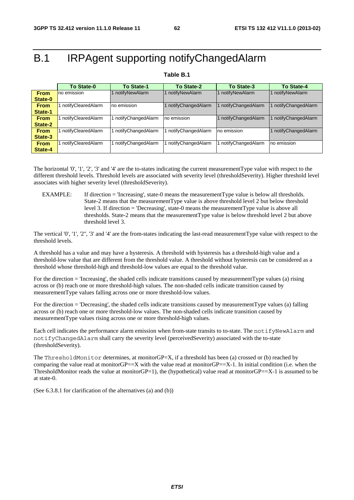### B.1 IRPAgent supporting notifyChangedAlarm

#### **Table B.1**

|             | <b>To State-0</b>             | To State-1           | To State-2           | To State-3         | To State-4         |  |
|-------------|-------------------------------|----------------------|----------------------|--------------------|--------------------|--|
| <b>From</b> | notifyNewAlarm<br>no emission |                      | 1 notifyNewAlarm     | notifyNewAlarm     | 1 notifyNewAlarm   |  |
| State-0     |                               |                      |                      |                    |                    |  |
| <b>From</b> | notifyClearedAlarm            | no emission          | 1 notifyChangedAlarm | notifyChangedAlarm | notifyChangedAlarm |  |
| State-1     |                               |                      |                      |                    |                    |  |
| <b>From</b> | notifyClearedAlarm            | 1 notifyChangedAlarm | no emission          | notifyChangedAlarm | notifyChangedAlarm |  |
| State-2     |                               |                      |                      |                    |                    |  |
| <b>From</b> | notifyClearedAlarm            | 1 notifyChangedAlarm | 1 notifyChangedAlarm | no emission        | notifyChangedAlarm |  |
| State-3     |                               |                      |                      |                    |                    |  |
| <b>From</b> | notifyClearedAlarm            | 1 notifyChangedAlarm | notifyChangedAlarm   | notifyChangedAlarm | Ino emission       |  |
| State-4     |                               |                      |                      |                    |                    |  |

The horizontal '0', '1', '2', '3' and '4' are the to-states indicating the current measurementType value with respect to the different threshold levels. Threshold levels are associated with severity level (thresholdSeverity). Higher threshold level associates with higher severity level (thresholdSeverity).

EXAMPLE: If direction = 'Increasing', state-0 means the measurementType value is below all thresholds. State-2 means that the measurementType value is above threshold level 2 but below threshold level 3. If direction = 'Decreasing', state-0 means the measurementType value is above all thresholds. State-2 means that the measurementType value is below threshold level 2 but above threshold level 3.

The vertical '0', '1', '2'', '3' and '4' are the from-states indicating the last-read measurementType value with respect to the threshold levels.

A threshold has a value and may have a hysteresis. A threshold with hysteresis has a threshold-high value and a threshold-low value that are different from the threshold value. A threshold without hysteresis can be considered as a threshold whose threshold-high and threshold-low values are equal to the threshold value.

For the direction = 'Increasing', the shaded cells indicate transitions caused by measurementType values (a) rising across or (b) reach one or more threshold-high values. The non-shaded cells indicate transition caused by measurementType values falling across one or more threshold-low values.

For the direction = 'Decreasing', the shaded cells indicate transitions caused by measurementType values (a) falling across or (b) reach one or more threshold-low values. The non-shaded cells indicate transition caused by measurementType values rising across one or more threshold-high values.

Each cell indicates the performance alarm emission when from-state transits to to-state. The notifyNewAlarm and notifyChangedAlarm shall carry the severity level (perceivedSeverity) associated with the to-state (thresholdSeverity).

The ThresholdMonitor determines, at monitorGP=X, if a threshold has been (a) crossed or (b) reached by comparing the value read at monitor $GP == X$  with the value read at monitor $GP == X-1$ . In initial condition (i.e. when the ThresholdMonitor reads the value at monitorGP=1), the (hypothetical) value read at monitorGP= $=X-1$  is assumed to be at state-0.

(See 6.3.8.1 for clarification of the alternatives (a) and (b))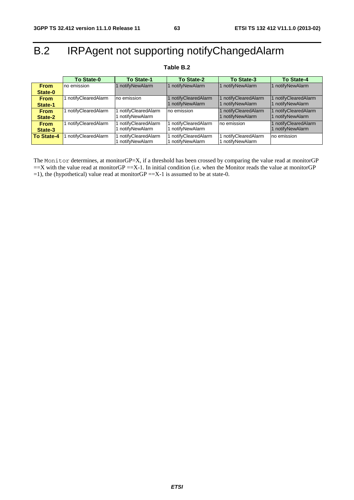## B.2 IRPAgent not supporting notifyChangedAlarm

|             | <b>To State-0</b>  | <b>To State-1</b>                                                               | To State-2           | <b>To State-3</b>    | To State-4         |
|-------------|--------------------|---------------------------------------------------------------------------------|----------------------|----------------------|--------------------|
| <b>From</b> | no emission        | notifyNewAlarm                                                                  | notifyNewAlarm       | 1 notifyNewAlarm     | notifyNewAlarm     |
| State-0     |                    |                                                                                 |                      |                      |                    |
| <b>From</b> | notifyClearedAlarm | no emission                                                                     | notifyClearedAlarm   | 1 notifyClearedAlarm | notifyClearedAlarm |
| State-1     |                    |                                                                                 | notifyNewAlarm       | 1 notifyNewAlarm     | notifyNewAlarm     |
| <b>From</b> | notifyClearedAlarm | notifyClearedAlarm                                                              | no emission          | notifyClearedAlarm   | notifyClearedAlarm |
| State-2     |                    | notifyNewAlarm                                                                  |                      | 1 notifyNewAlarm     | notifyNewAlarm     |
| <b>From</b> | notifyClearedAlarm | notifyClearedAlarm                                                              | 1 notifyClearedAlarm | Ino emission         | notifyClearedAlarm |
| State-3     |                    | notifyNewAlarm                                                                  | 1 notifyNewAlarm     |                      | notifyNewAlarm     |
| To State-4  | notifyClearedAlarm | no emission<br>notifyClearedAlarm<br>1 notifyClearedAlarm<br>notifyClearedAlarm |                      |                      |                    |
|             |                    | notifyNewAlarm                                                                  | 1 notifvNewAlarm     | notifyNewAlarm       |                    |

### **Table B.2**

The Monitor determines, at monitorGP=X, if a threshold has been crossed by comparing the value read at monitorGP  $=$  X with the value read at monitorGP  $=$  X-1. In initial condition (i.e. when the Monitor reads the value at monitorGP =1), the (hypothetical) value read at monitorGP == $X-1$  is assumed to be at state-0.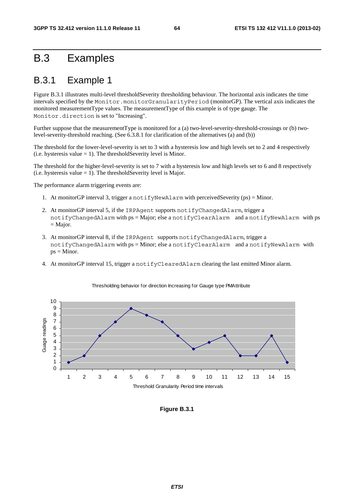### B.3 Examples

### B.3.1 Example 1

Figure B.3.1 illustrates multi-level thresholdSeverity thresholding behaviour. The horizontal axis indicates the time intervals specified by the Monitor.monitorGranularityPeriod (monitorGP). The vertical axis indicates the monitored measurementType values. The measurementType of this example is of type gauge. The Monitor.direction is set to "Increasing".

Further suppose that the measurementType is monitored for a (a) two-level-severity-threshold-crossings or (b) twolevel-severity-threshold reaching. (See 6.3.8.1 for clarification of the alternatives (a) and (b))

The threshold for the lower-level-severity is set to 3 with a hysteresis low and high levels set to 2 and 4 respectively (i.e. hysteresis value  $= 1$ ). The thresholdSeverity level is Minor.

The threshold for the higher-level-severity is set to 7 with a hysteresis low and high levels set to 6 and 8 respectively (i.e. hysteresis value  $= 1$ ). The thresholdSeverity level is Major.

The performance alarm triggering events are:

- 1. At monitorGP interval 3, trigger a notifyNewAlarm with perceivedSeverity (ps) = Minor.
- 2. At monitorGP interval 5, if the IRPAgent supports notifyChangedAlarm, trigger a notifyChangedAlarm with ps = Major; else a notifyClearAlarm and a notifyNewAlarm with ps  $=$  Major.
- 3. At monitorGP interval 8, if the IRPAgent supports notifyChangedAlarm, trigger a notifyChangedAlarm with ps = Minor; else a notifyClearAlarm and a notifyNewAlarm with  $ps = Minor$ .
- 4. At monitorGP interval 15, trigger a notifyClearedAlarm clearing the last emitted Minor alarm.



#### Thresholding behavior for direction Increasing for Gauge type PMAttribute

**Figure B.3.1**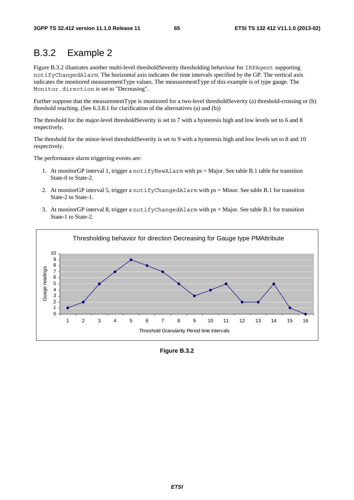### B.3.2 Example 2

Figure B.3.2 illustrates another multi-level thresholdSeverity thresholding behaviour for IRPAgent supporting notifyChangedAlarm. The horizontal axis indicates the time intervals specified by the GP. The vertical axis indicates the monitored measurementType values. The measurementType of this example is of type gauge. The Monitor.direction is set to "Decreasing".

Further suppose that the measurementType is monitored for a two-level thresholdSeverity (a) threshold-crossing or (b) threshold reaching. (See 6.3.8.1 for clarification of the alternatives (a) and (b))

The threshold for the major-level thresholdSeverity is set to 7 with a hysteresis high and low levels set to 6 and 8 respectively.

The threshold for the minor-level thresholdSeverity is set to 9 with a hysteresis high and low levels set to 8 and 10 respectively.

The performance alarm triggering events are:

- 1. At monitorGP interval 1, trigger a notifyNewAlarm with ps = Major. See table B.1 table for transition State-0 to State-2.
- 2. At monitorGP interval 5, trigger a notifyChangedAlarm with ps = Minor. See table B.1 for transition State-2 to State-1.
- 3. At monitorGP interval 8, trigger a notifyChangedAlarm with ps = Major. See table B.1 for transition State-1 to State-2.



**Figure B.3.2**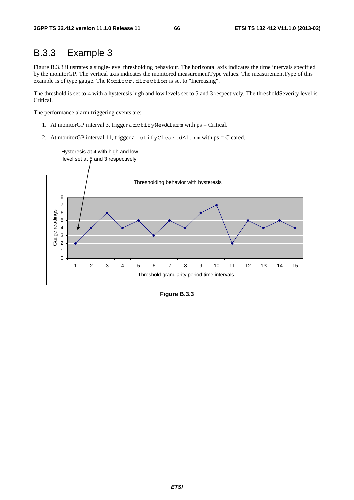### B.3.3 Example 3

Figure B.3.3 illustrates a single-level thresholding behaviour. The horizontal axis indicates the time intervals specified by the monitorGP. The vertical axis indicates the monitored measurementType values. The measurementType of this example is of type gauge. The Monitor.direction is set to "Increasing".

The threshold is set to 4 with a hysteresis high and low levels set to 5 and 3 respectively. The thresholdSeverity level is Critical.

The performance alarm triggering events are:

- 1. At monitorGP interval 3, trigger a notifyNewAlarm with ps = Critical.
- 2. At monitorGP interval 11, trigger a notifyClearedAlarm with ps = Cleared.



**Figure B.3.3**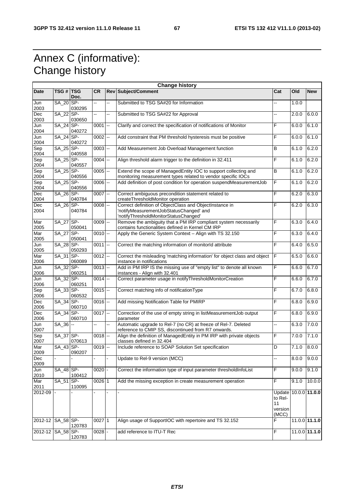### Annex C (informative): Change history

| <b>Change history</b> |             |                |            |    |                                                                                                                                            |                                                           |       |                    |
|-----------------------|-------------|----------------|------------|----|--------------------------------------------------------------------------------------------------------------------------------------------|-----------------------------------------------------------|-------|--------------------|
| Date                  | TSG # TSG   | Doc.           | <b>CR</b>  |    | <b>Rev Subject/Comment</b>                                                                                                                 | Cat                                                       | Old   | <b>New</b>         |
| Jun<br>2003           | SA 20 SP-   | 030295         | --         | -- | Submitted to TSG SA#20 for Information                                                                                                     |                                                           | 1.0.0 |                    |
| Dec<br>2003           | SA 22 SP-   | 030650         | 44         | -- | Submitted to TSG SA#22 for Approval                                                                                                        |                                                           | 2.0.0 | 6.0.0              |
| Jun<br>2004           | SA_24 SP-   | 040272         | 0001       | -- | Clarify and correct the specification of notifications of Monitor                                                                          | F                                                         | 6.0.0 | 6.1.0              |
| Jun<br>2004           | SA_24 SP-   | 040272         | $0002$ --  |    | Add constraint that PM threshold hysteresis must be positive                                                                               | F                                                         | 6.0.0 | 6.1.0              |
| Sep<br>2004           | SA_25 SP-   | 040558         | $0003$ --  |    | Add Measurement Job Overload Management function                                                                                           | B                                                         | 6.1.0 | 6.2.0              |
| Sep<br>2004           | SA_25 SP-   | 040557         | $0004$ $-$ |    | Align threshold alarm trigger to the definition in 32.411                                                                                  | F                                                         | 6.1.0 | 6.2.0              |
| Sep<br>2004           | SA_25 SP-   | 040556         | $0005$ $-$ |    | Extend the scope of ManagedEntity IOC to support collecting and<br>monitoring measurement types related to vendor specific IOCs            | B                                                         | 6.1.0 | 6.2.0              |
| Sep<br>2004           | SA_25 SP-   | 040556         | $0006$ $-$ |    | Add definition of post condition for operation suspendMeasurementJob                                                                       | F                                                         | 6.1.0 | 6.2.0              |
| Dec<br>2004           | SA_26 SP-   | 040784         | $0007$ --  |    | Correct ambiguous precondition statement related to<br>createThresholdMonitor operation                                                    | F                                                         | 6.2.0 | 6.3.0              |
| Dec<br>2004           | SA_26 SP-   | 040784         | $0008$ --  |    | Correct definition of ObjectClass and ObjectInstance in<br>notifyMeasurementJobStatusChanged' and<br>'notifyThresholdMonitorStatusChanged' | F                                                         | 6.2.0 | 6.3.0              |
| Mar<br>2005           | SA_27 SP-   | 050041         | $0009$ --  |    | Remove the ambiguity that a PM IRP compliant system necessarily<br>contains functionalities defined in Kernel CM IRP                       | F                                                         | 6.3.0 | 6.4.0              |
| Mar<br>2005           | SA_27 SP-   | 050041         | $0010$ --  |    | Apply the Generic System Context - Align with TS 32.150                                                                                    | F                                                         | 6.3.0 | 6.4.0              |
| Jun<br>2005           | SA_28 SP-   | 050293         | $0011$ $-$ |    | Correct the matching information of monitorId attribute                                                                                    | F                                                         | 6.4.0 | 6.5.0              |
| Mar<br>2006           | SA_31       | ISP-<br>060089 | $0012$ -   |    | Correct the misleading 'matching information' for object class and object<br>instance in notifications                                     | F                                                         | 6.5.0 | 6.6.0              |
| Jun<br>2006           | SA_32 SP-   | 060251         | $0013$ --  |    | Add in PM IRP IS the missing use of "empty list" to denote all known<br>instances - Align with 32.401                                      | F                                                         | 6.6.0 | 6.7.0              |
| Jun<br>2006           | SA_32 SP-   | 060251         | $0014$ --  |    | Correct parameter usage in notifyThresholdMonitorCreation                                                                                  | F                                                         | 6.6.0 | 6.7.0              |
| Sep<br>2006           | SA_33 SP-   | 060532         | $0015$ --  |    | Correct matching info of notificationType                                                                                                  | F                                                         | 6.7.0 | 6.8.0              |
| Dec<br>2006           | $SA_34$ SP- | 060710         | $0016$ --  |    | Add missing Notification Table for PMIRP                                                                                                   | F                                                         | 6.8.0 | 6.9.0              |
| Dec<br>2006           | SA_34 SP-   | 060710         | $0017$ --  |    | Correction of the use of empty string in listMeasurementJob output<br>parameter                                                            | F                                                         | 6.8.0 | 6.9.0              |
| Jun<br>2007           | $SA_36$ --  |                | Щ,         | Ξ. | Automatic upgrade to Rel-7 (no CR) at freeze of Rel-7. Deleted<br>reference to CMIP SS, discontinued from R7 onwards.                      | Ш,                                                        | 6.3.0 | 7.0.0              |
| Sep<br>2007           | SA_37 SP-   | 070613         | $0018$ --  |    | Align the definition of ManagedEntity in PM IRP with private objects<br>classes defined in 32.404                                          | F                                                         | 7.0.0 | 7.1.0              |
| Mar<br>2009           | SA_43 SP-   | 090207         | $0019$ --  |    | Include reference to SOAP Solution Set specification                                                                                       | D                                                         | 7.1.0 | $\overline{8.0.0}$ |
| Dec<br>2009           |             |                |            |    | Update to Rel-9 version (MCC)                                                                                                              |                                                           | 8.0.0 | 9.0.0              |
| Jun<br>2010           | SA_48 SP-   | 100412         | 0020       |    | Correct the information type of input parameter thresholdInfoList                                                                          | F                                                         | 9.0.0 | 9.1.0              |
| Mar<br>2011           | SA_51 SP-   | 110095         | $0026$ 1   |    | Add the missing exception in create measurement operation                                                                                  | F                                                         | 9.1.0 | 10.0.0             |
| 2012-09               |             |                |            |    |                                                                                                                                            | Update 10.0.0 11.0.0<br>to Rel-<br>11<br>version<br>(MCC) |       |                    |
| 2012-12 SA_58 SP-     |             | 120783         | $0027$ 1   |    | Align usage of SupportIOC with repertoire and TS 32.152                                                                                    | F                                                         |       | $11.0.0$ 11.1.0    |
| 2012-12 SA_58 SP-     |             | 120783         | $0028$ -   |    | add reference to ITU-T Rec                                                                                                                 | $\overline{F}$                                            |       | $11.0.0$ 11.1.0    |